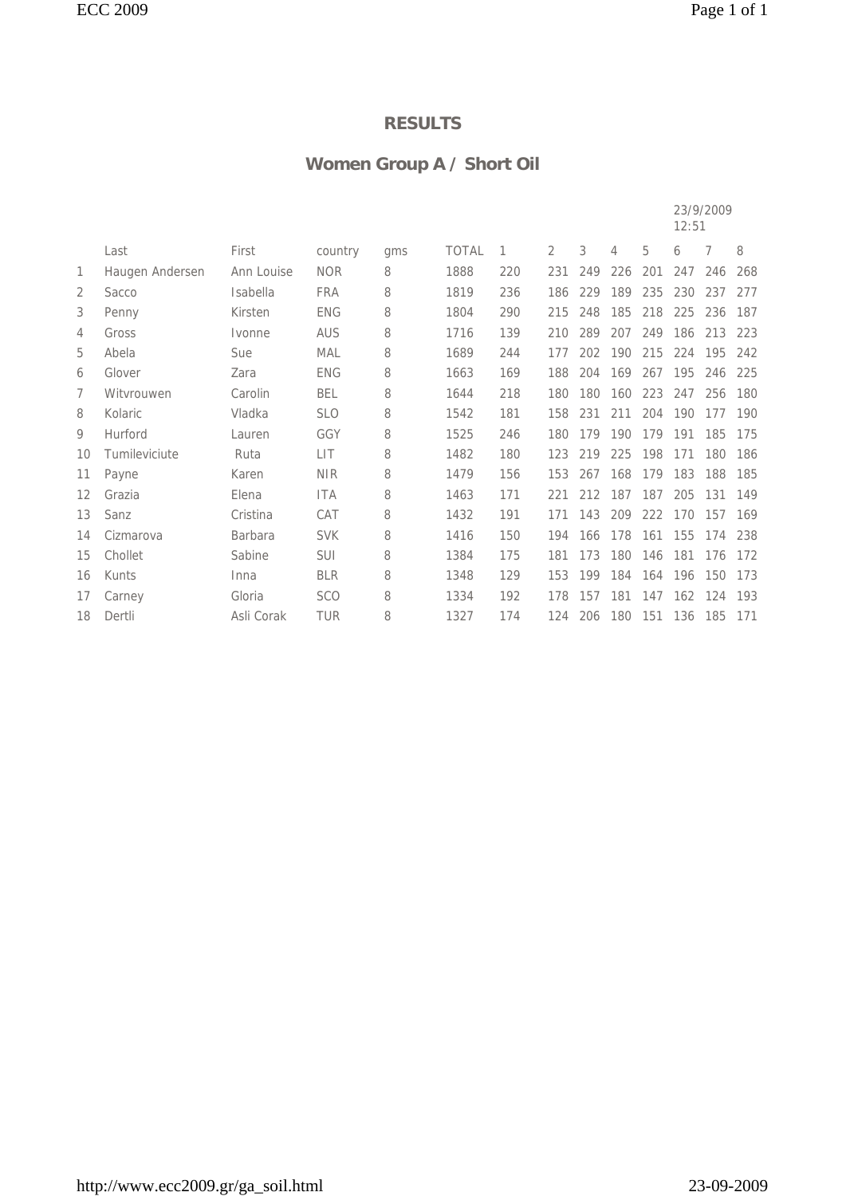# **Women Group A / Short Oil**

|    |                 |                |            |     |              |     |                |     |     |     | 12:51 | 23/9/2009 |     |
|----|-----------------|----------------|------------|-----|--------------|-----|----------------|-----|-----|-----|-------|-----------|-----|
|    | Last            | First          | country    | qms | <b>TOTAL</b> | 1   | $\overline{2}$ | 3   | 4   | 5   | 6     | 7         | 8   |
| 1  | Haugen Andersen | Ann Louise     | <b>NOR</b> | 8   | 1888         | 220 | 231            | 249 | 226 | 201 | 247   | 246       | 268 |
| 2  | Sacco           | Isabella       | <b>FRA</b> | 8   | 1819         | 236 | 186            | 229 | 189 | 235 | 230   | 237       | 277 |
| 3  | Penny           | Kirsten        | <b>ENG</b> | 8   | 1804         | 290 | 215            | 248 | 185 | 218 | 225   | 236       | 187 |
| 4  | Gross           | Ivonne         | AUS        | 8   | 1716         | 139 | 210            | 289 | 207 | 249 | 186   | 213       | 223 |
| 5  | Abela           | Sue            | <b>MAL</b> | 8   | 1689         | 244 | 177            | 202 | 190 | 215 | 224   | 195       | 242 |
| 6  | Glover          | Zara           | <b>ENG</b> | 8   | 1663         | 169 | 188            | 204 | 169 | 267 | 195   | 246       | 225 |
| 7  | Witvrouwen      | Carolin        | <b>BEL</b> | 8   | 1644         | 218 | 180            | 180 | 160 | 223 | 247   | 256       | 180 |
| 8  | Kolaric         | Vladka         | <b>SLO</b> | 8   | 1542         | 181 | 158            | 231 | 211 | 204 | 190   | 177       | 190 |
| 9  | Hurford         | Lauren         | GGY        | 8   | 1525         | 246 | 180            | 179 | 190 | 179 | 191   | 185       | 175 |
| 10 | Tumileviciute   | Ruta           | <b>LIT</b> | 8   | 1482         | 180 | 123            | 219 | 225 | 198 | 171   | 180       | 186 |
| 11 | Payne           | Karen          | <b>NIR</b> | 8   | 1479         | 156 | 153            | 267 | 168 | 179 | 183   | 188       | 185 |
| 12 | Grazia          | Elena          | <b>ITA</b> | 8   | 1463         | 171 | 221            | 212 | 187 | 187 | 205   | 131       | 149 |
| 13 | Sanz            | Cristina       | CAT        | 8   | 1432         | 191 | 171            | 143 | 209 | 222 | 170   | 157       | 169 |
| 14 | Cizmarova       | <b>Barbara</b> | <b>SVK</b> | 8   | 1416         | 150 | 194            | 166 | 178 | 161 | 155   | 174       | 238 |
| 15 | Chollet         | Sabine         | <b>SUI</b> | 8   | 1384         | 175 | 181            | 173 | 180 | 146 | 181   | 176       | 172 |
| 16 | Kunts           | Inna           | <b>BLR</b> | 8   | 1348         | 129 | 153            | 199 | 184 | 164 | 196   | 150       | 173 |
| 17 | Carney          | Gloria         | <b>SCO</b> | 8   | 1334         | 192 | 178            | 157 | 181 | 147 | 162   | 124       | 193 |
| 18 | Dertli          | Asli Corak     | <b>TUR</b> | 8   | 1327         | 174 | 124            | 206 | 180 | 151 | 136   | 185       | 171 |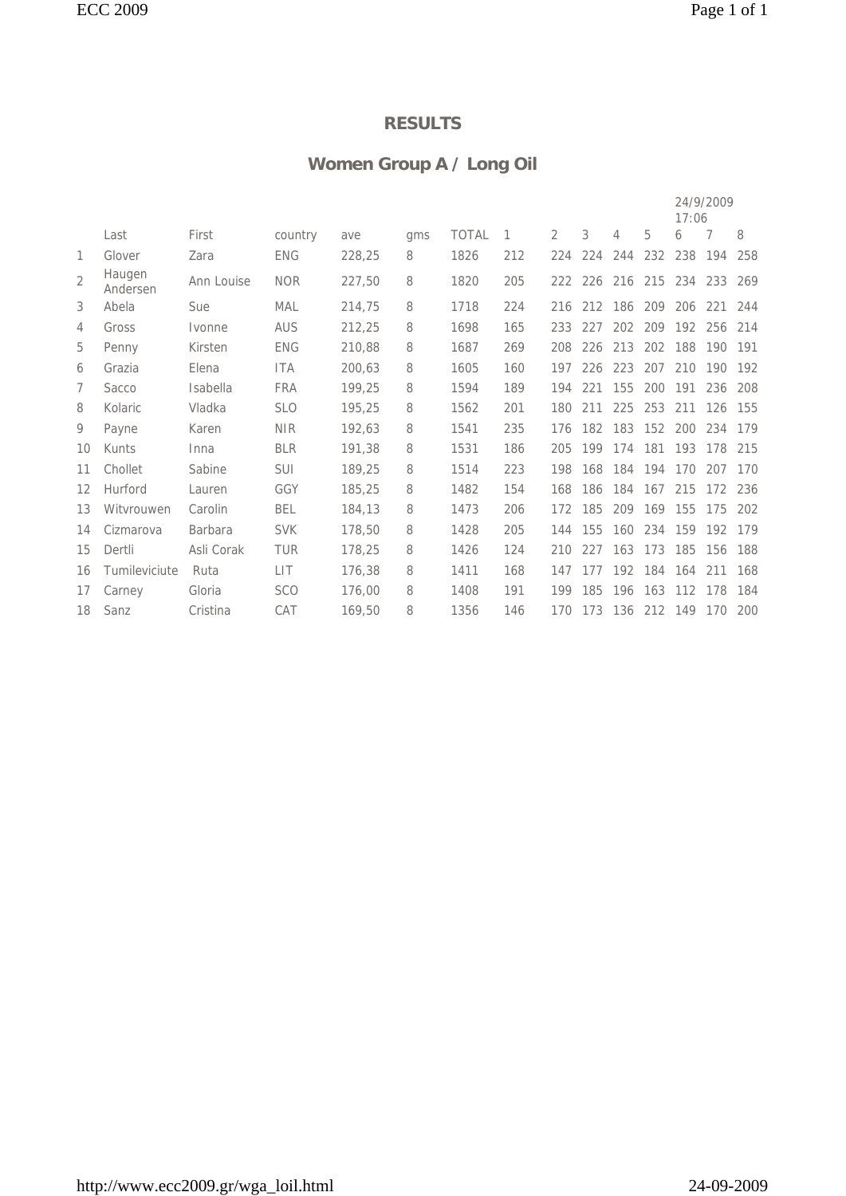## **Women Group A / Long Oil**

|                |                    |                |            |        |     |              |     |                |     |         |                 | 17:06 | 24/9/2009 |     |
|----------------|--------------------|----------------|------------|--------|-----|--------------|-----|----------------|-----|---------|-----------------|-------|-----------|-----|
|                | Last               | First          | country    | ave    | qms | <b>TOTAL</b> | 1   | $\overline{2}$ | 3   | 4       | 5               | 6     | 7         | 8   |
| 1              | Glover             | Zara           | <b>ENG</b> | 228,25 | 8   | 1826         | 212 | 224            | 224 | 244     | 232             | 238   | 194       | 258 |
| $\overline{2}$ | Haugen<br>Andersen | Ann Louise     | <b>NOR</b> | 227,50 | 8   | 1820         | 205 |                |     |         | 222 226 216 215 |       | 234 233   | 269 |
| 3              | Abela              | Sue            | MAL        | 214,75 | 8   | 1718         | 224 | 216            |     | 212 186 | 209             | 206   | 221       | 244 |
| 4              | Gross              | Ivonne         | <b>AUS</b> | 212,25 | 8   | 1698         | 165 | 233            | 227 | 202     | 209             | 192   | 256       | 214 |
| 5              | Penny              | Kirsten        | <b>ENG</b> | 210,88 | 8   | 1687         | 269 | 208            | 226 | 213     | 202             | 188   | 190       | 191 |
| 6              | Grazia             | Elena          | <b>ITA</b> | 200.63 | 8   | 1605         | 160 | 197            | 226 | 223     | 207             | 210   | 190       | 192 |
| 7              | Sacco              | Isabella       | <b>FRA</b> | 199,25 | 8   | 1594         | 189 | 194            | 221 | 155     | 200             | 191   | 236       | 208 |
| 8              | Kolaric            | Vladka         | <b>SLO</b> | 195,25 | 8   | 1562         | 201 | 180            | 211 | 225     | 253             | 211   | 126       | 155 |
| 9              | Payne              | Karen          | <b>NIR</b> | 192,63 | 8   | 1541         | 235 | 176            | 182 | 183     | 152             | 200   | 234       | 179 |
| 10             | Kunts              | Inna           | <b>BLR</b> | 191,38 | 8   | 1531         | 186 | 205            | 199 | 174     | 181             | 193   | 178       | 215 |
| 11             | Chollet            | Sabine         | SUI        | 189,25 | 8   | 1514         | 223 | 198            | 168 | 184     | 194             | 170   | 207       | 170 |
| 12             | Hurford            | Lauren         | GGY        | 185,25 | 8   | 1482         | 154 | 168            | 186 | 184     | 167             | 215   | 172       | 236 |
| 13             | Witvrouwen         | Carolin        | <b>BEL</b> | 184,13 | 8   | 1473         | 206 | 172            | 185 | 209     | 169             | 155   | 175       | 202 |
| 14             | Cizmarova          | <b>Barbara</b> | <b>SVK</b> | 178,50 | 8   | 1428         | 205 | 144            | 155 | 160     | 234             | 159   | 192       | 179 |
| 15             | Dertli             | Asli Corak     | <b>TUR</b> | 178,25 | 8   | 1426         | 124 | 210            | 227 | 163     | 173             | 185   | 156       | 188 |
| 16             | Tumileviciute      | Ruta           | LIT        | 176,38 | 8   | 1411         | 168 | 147            | 177 | 192     | 184             | 164   | 211       | 168 |
| 17             | Carney             | Gloria         | <b>SCO</b> | 176,00 | 8   | 1408         | 191 | 199            | 185 | 196     | 163             | 112   | 178       | 184 |
| 18             | Sanz               | Cristina       | CAT        | 169,50 | 8   | 1356         | 146 | 170            | 173 | 136     | 212 149         |       | 170       | 200 |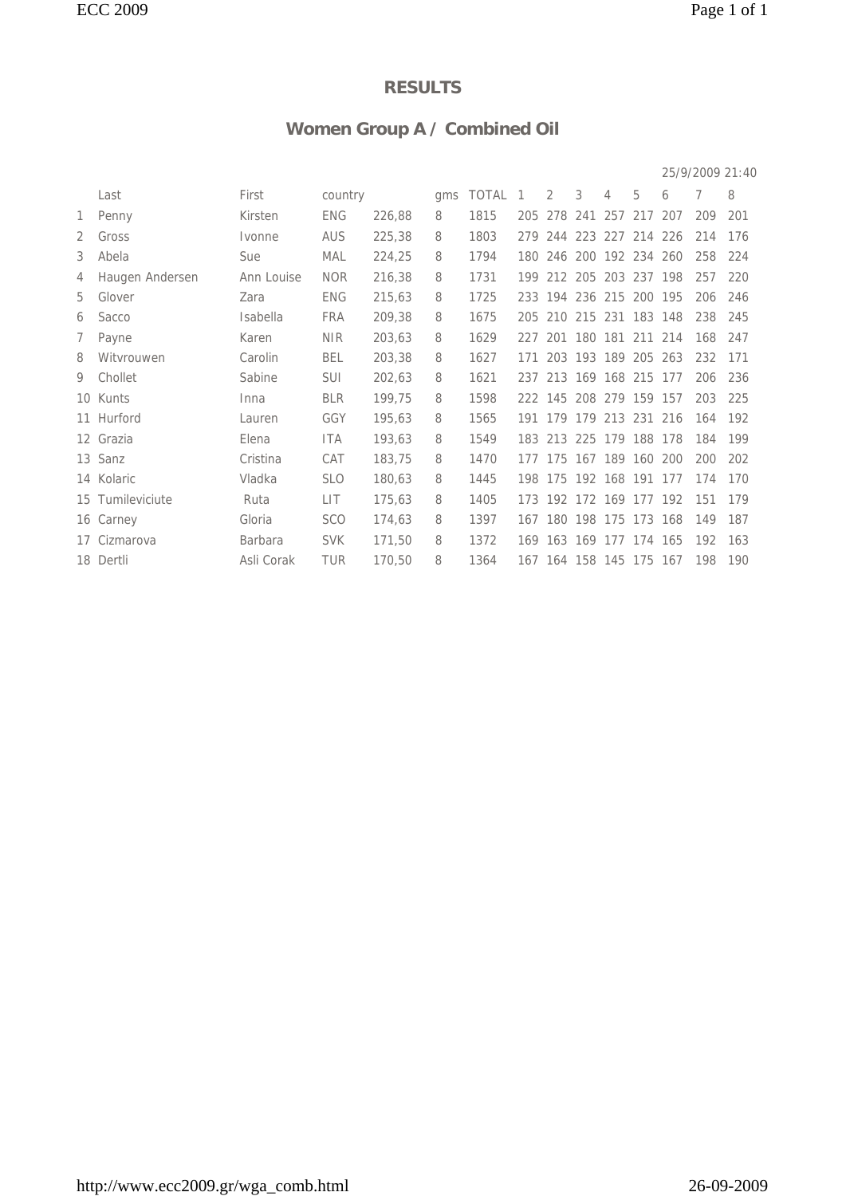## **Women Group A / Combined Oil**

|   |                  |                 |            |        |     |         |     |                         |             |   |                     |     | 25/9/2009 21:40 |     |
|---|------------------|-----------------|------------|--------|-----|---------|-----|-------------------------|-------------|---|---------------------|-----|-----------------|-----|
|   | Last             | First           | country    |        | qms | TOTAL 1 |     | 2                       | 3           | 4 | 5                   | 6   | 7               | 8   |
| 1 | Penny            | Kirsten         | <b>ENG</b> | 226,88 | 8   | 1815    |     | 205 278 241 257 217     |             |   |                     | 207 | 209             | 201 |
| 2 | Gross            | Ivonne          | <b>AUS</b> | 225,38 | 8   | 1803    |     | 279 244 223 227 214 226 |             |   |                     |     | 214             | 176 |
| 3 | Abela            | Sue             | MAL        | 224,25 | 8   | 1794    |     | 180 246 200 192 234     |             |   |                     | 260 | 258             | 224 |
| 4 | Haugen Andersen  | Ann Louise      | <b>NOR</b> | 216,38 | 8   | 1731    | 199 |                         | 212 205     |   | 203 237 198         |     | 257             | 220 |
| 5 | Glover           | Zara            | <b>ENG</b> | 215,63 | 8   | 1725    | 233 |                         |             |   | 194 236 215 200 195 |     | 206             | 246 |
| 6 | Sacco            | <b>Isabella</b> | <b>FRA</b> | 209,38 | 8   | 1675    |     | 205 210 215 231 183 148 |             |   |                     |     | 238             | 245 |
| 7 | Payne            | Karen           | <b>NIR</b> | 203,63 | 8   | 1629    |     | 227 201 180 181 211 214 |             |   |                     |     | 168             | 247 |
| 8 | Witvrouwen       | Carolin         | <b>BEL</b> | 203,38 | 8   | 1627    | 171 |                         |             |   | 203 193 189 205 263 |     | 232             | 171 |
| 9 | Chollet          | Sabine          | SUI        | 202,63 | 8   | 1621    |     | 237 213 169 168 215 177 |             |   |                     |     | 206             | 236 |
|   | 10 Kunts         | Inna            | <b>BLR</b> | 199,75 | 8   | 1598    |     | 222 145 208 279 159 157 |             |   |                     |     | 203             | 225 |
|   | 11 Hurford       | Lauren          | GGY        | 195,63 | 8   | 1565    |     | 191 179 179 213 231 216 |             |   |                     |     | 164             | 192 |
|   | 12 Grazia        | Elena           | ITA        | 193,63 | 8   | 1549    |     | 183 213 225 179 188 178 |             |   |                     |     | 184             | 199 |
|   | 13 Sanz          | Cristina        | CAT        | 183,75 | 8   | 1470    | 177 | 175                     | 167 189 160 |   |                     | 200 | 200             | 202 |
|   | 14 Kolaric       | Vladka          | <b>SLO</b> | 180,63 | 8   | 1445    | 198 |                         |             |   | 175 192 168 191 177 |     | 174             | 170 |
|   | 15 Tumileviciute | Ruta            | <b>LIT</b> | 175,63 | 8   | 1405    |     | 173 192 172 169 177 192 |             |   |                     |     | 151             | 179 |
|   | 16 Carney        | Gloria          | <b>SCO</b> | 174,63 | 8   | 1397    |     | 167 180 198 175 173 168 |             |   |                     |     | 149             | 187 |
|   | 17 Cizmarova     | <b>Barbara</b>  | <b>SVK</b> | 171,50 | 8   | 1372    |     | 169 163 169 177 174 165 |             |   |                     |     | 192             | 163 |
|   | 18 Dertli        | Asli Corak      | <b>TUR</b> | 170,50 | 8   | 1364    |     | 167 164 158 145 175 167 |             |   |                     |     | 198             | 190 |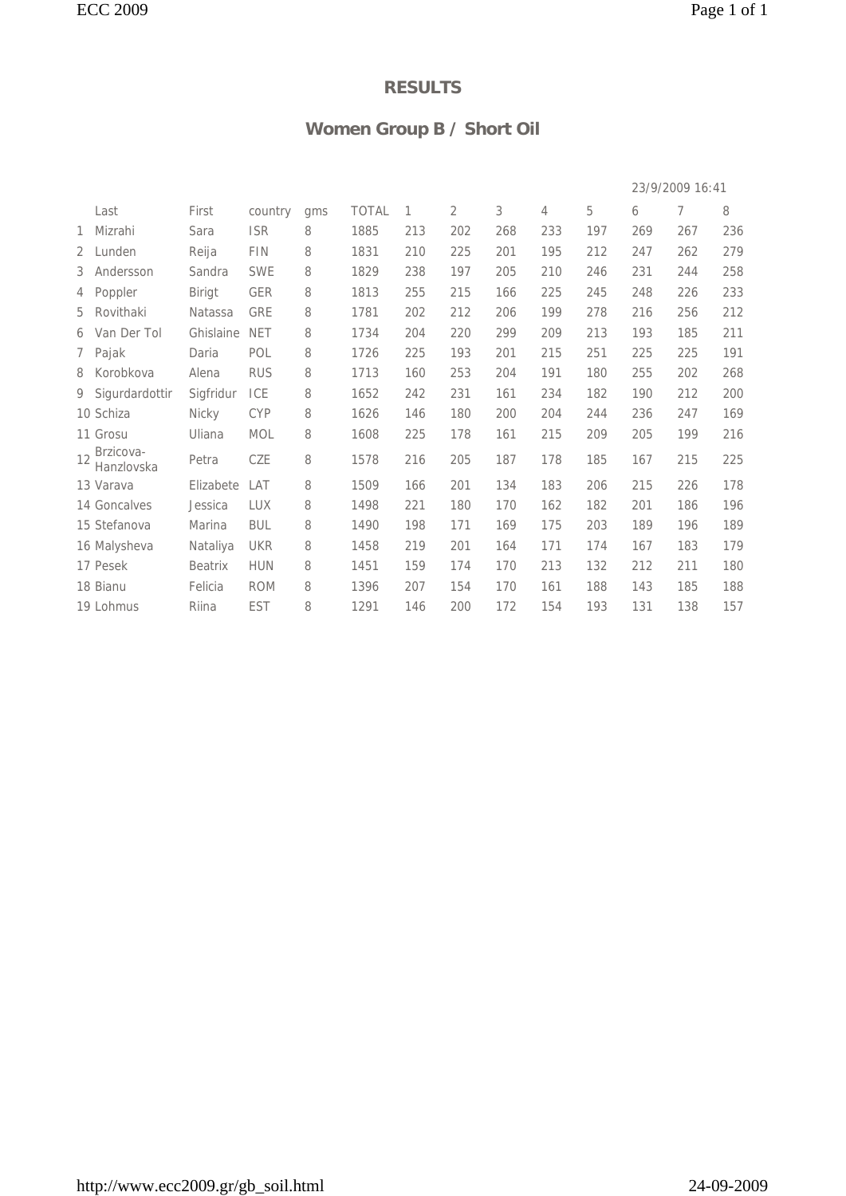## **Women Group B / Short Oil**

|              |                         |               |            |     |              |     |     |     |     |     |     | 23/9/2009 16:41 |     |
|--------------|-------------------------|---------------|------------|-----|--------------|-----|-----|-----|-----|-----|-----|-----------------|-----|
|              | Last                    | First         | country    | qms | <b>TOTAL</b> | 1   | 2   | 3   | 4   | 5   | 6   | 7               | 8   |
| 1            | Mizrahi                 | Sara          | <b>ISR</b> | 8   | 1885         | 213 | 202 | 268 | 233 | 197 | 269 | 267             | 236 |
| $\mathbf{2}$ | Lunden                  | Reija         | FIN        | 8   | 1831         | 210 | 225 | 201 | 195 | 212 | 247 | 262             | 279 |
|              | 3 Andersson             | Sandra        | <b>SWE</b> | 8   | 1829         | 238 | 197 | 205 | 210 | 246 | 231 | 244             | 258 |
|              | 4 Poppler               | <b>Birigt</b> | <b>GER</b> | 8   | 1813         | 255 | 215 | 166 | 225 | 245 | 248 | 226             | 233 |
| 5            | Rovithaki               | Natassa       | GRE        | 8   | 1781         | 202 | 212 | 206 | 199 | 278 | 216 | 256             | 212 |
|              | 6 Van Der Tol           | Ghislaine     | <b>NET</b> | 8   | 1734         | 204 | 220 | 299 | 209 | 213 | 193 | 185             | 211 |
|              | 7 Pajak                 | Daria         | POL        | 8   | 1726         | 225 | 193 | 201 | 215 | 251 | 225 | 225             | 191 |
|              | 8 Korobkova             | Alena         | <b>RUS</b> | 8   | 1713         | 160 | 253 | 204 | 191 | 180 | 255 | 202             | 268 |
|              | 9 Sigurdardottir        | Sigfridur     | ICE        | 8   | 1652         | 242 | 231 | 161 | 234 | 182 | 190 | 212             | 200 |
|              | 10 Schiza               | Nicky         | <b>CYP</b> | 8   | 1626         | 146 | 180 | 200 | 204 | 244 | 236 | 247             | 169 |
|              | 11 Grosu                | Uliana        | MOL        | 8   | 1608         | 225 | 178 | 161 | 215 | 209 | 205 | 199             | 216 |
| 12           | Brzicova-<br>Hanzlovska | Petra         | CZE        | 8   | 1578         | 216 | 205 | 187 | 178 | 185 | 167 | 215             | 225 |
|              | 13 Varava               | Elizabete     | LAT        | 8   | 1509         | 166 | 201 | 134 | 183 | 206 | 215 | 226             | 178 |
|              | 14 Goncalves            | Jessica       | <b>LUX</b> | 8   | 1498         | 221 | 180 | 170 | 162 | 182 | 201 | 186             | 196 |
|              | 15 Stefanova            | Marina        | <b>BUL</b> | 8   | 1490         | 198 | 171 | 169 | 175 | 203 | 189 | 196             | 189 |
|              | 16 Malysheva            | Nataliya      | <b>UKR</b> | 8   | 1458         | 219 | 201 | 164 | 171 | 174 | 167 | 183             | 179 |
|              | 17 Pesek                | Beatrix       | <b>HUN</b> | 8   | 1451         | 159 | 174 | 170 | 213 | 132 | 212 | 211             | 180 |
|              | 18 Bianu                | Felicia       | <b>ROM</b> | 8   | 1396         | 207 | 154 | 170 | 161 | 188 | 143 | 185             | 188 |
|              | 19 Lohmus               | Riina         | <b>EST</b> | 8   | 1291         | 146 | 200 | 172 | 154 | 193 | 131 | 138             | 157 |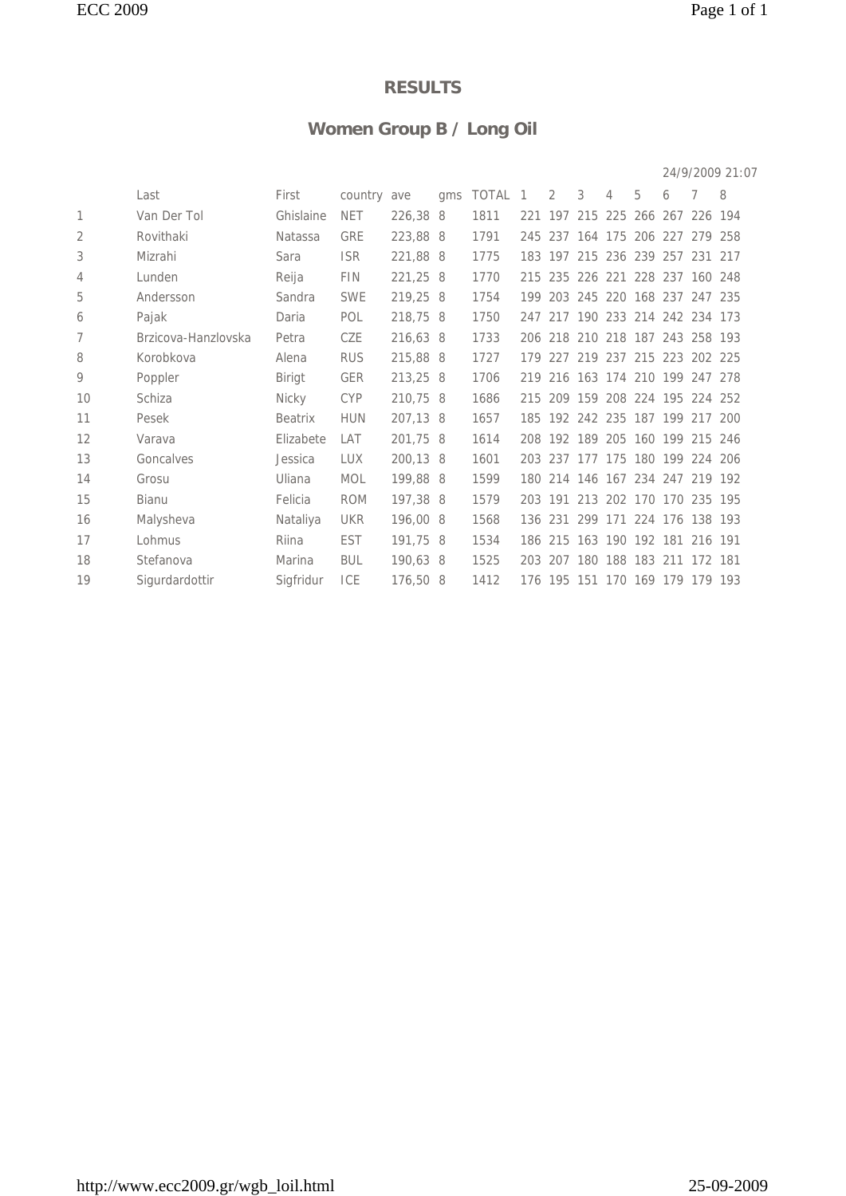## **Women Group B / Long Oil**

|    |                     |                |             |          |     |         |     |                                 |   |   |                         |   |     | 24/9/2009 21:07 |
|----|---------------------|----------------|-------------|----------|-----|---------|-----|---------------------------------|---|---|-------------------------|---|-----|-----------------|
|    | Last                | First          | country ave |          | qms | TOTAL 1 |     | 2                               | 3 | 4 | 5                       | 6 | 7   | 8               |
| 1  | Van Der Tol         | Ghislaine      | <b>NET</b>  | 226,38 8 |     | 1811    |     | 221 197                         |   |   | 215 225 266 267 226 194 |   |     |                 |
| 2  | Rovithaki           | Natassa        | <b>GRE</b>  | 223,88 8 |     | 1791    |     | 245 237 164 175 206 227 279 258 |   |   |                         |   |     |                 |
| 3  | Mizrahi             | Sara           | <b>ISR</b>  | 221,88 8 |     | 1775    |     | 183 197                         |   |   | 215 236 239 257         |   | 231 | 217             |
| 4  | Lunden              | Reija          | <b>FIN</b>  | 221,25 8 |     | 1770    |     | 215 235 226 221 228 237 160     |   |   |                         |   |     | 248             |
| 5  | Andersson           | Sandra         | <b>SWE</b>  | 219,25 8 |     | 1754    |     | 199 203 245 220 168 237 247 235 |   |   |                         |   |     |                 |
| 6  | Pajak               | Daria          | POL         | 218,75 8 |     | 1750    |     | 247 217 190 233 214 242 234 173 |   |   |                         |   |     |                 |
| 7  | Brzicova-Hanzlovska | Petra          | CZE         | 216,63 8 |     | 1733    |     | 206 218 210 218 187 243 258 193 |   |   |                         |   |     |                 |
| 8  | Korobkova           | Alena          | <b>RUS</b>  | 215,88 8 |     | 1727    | 179 | 227 219 237 215 223 202 225     |   |   |                         |   |     |                 |
| 9  | Poppler             | Birigt         | <b>GER</b>  | 213,25 8 |     | 1706    |     | 219 216 163 174 210 199 247 278 |   |   |                         |   |     |                 |
| 10 | Schiza              | Nicky          | <b>CYP</b>  | 210,75 8 |     | 1686    |     | 215 209 159 208 224 195 224 252 |   |   |                         |   |     |                 |
| 11 | Pesek               | <b>Beatrix</b> | <b>HUN</b>  | 207,13 8 |     | 1657    |     | 185 192 242 235 187 199 217 200 |   |   |                         |   |     |                 |
| 12 | Varava              | Elizabete      | LAT         | 201,75 8 |     | 1614    |     | 208 192 189 205 160 199 215     |   |   |                         |   |     | 246             |
| 13 | Goncalves           | Jessica        | LUX         | 200,13 8 |     | 1601    |     | 203 237 177 175 180 199 224 206 |   |   |                         |   |     |                 |
| 14 | Grosu               | Uliana         | <b>MOL</b>  | 199,88 8 |     | 1599    |     | 180 214 146 167 234 247 219 192 |   |   |                         |   |     |                 |
| 15 | <b>Bianu</b>        | Felicia        | <b>ROM</b>  | 197,38 8 |     | 1579    |     | 203 191 213 202 170 170 235 195 |   |   |                         |   |     |                 |
| 16 | Malysheva           | Nataliya       | <b>UKR</b>  | 196,00 8 |     | 1568    |     | 136 231 299 171 224 176 138 193 |   |   |                         |   |     |                 |
| 17 | Lohmus              | Riina          | <b>EST</b>  | 191,75 8 |     | 1534    |     | 186 215 163 190 192 181         |   |   |                         |   | 216 | 191             |
| 18 | Stefanova           | Marina         | <b>BUL</b>  | 190,63 8 |     | 1525    |     | 203 207 180 188 183 211 172 181 |   |   |                         |   |     |                 |
| 19 | Sigurdardottir      | Siafridur      | ICE         | 176,50 8 |     | 1412    |     | 176 195 151 170 169 179 179 193 |   |   |                         |   |     |                 |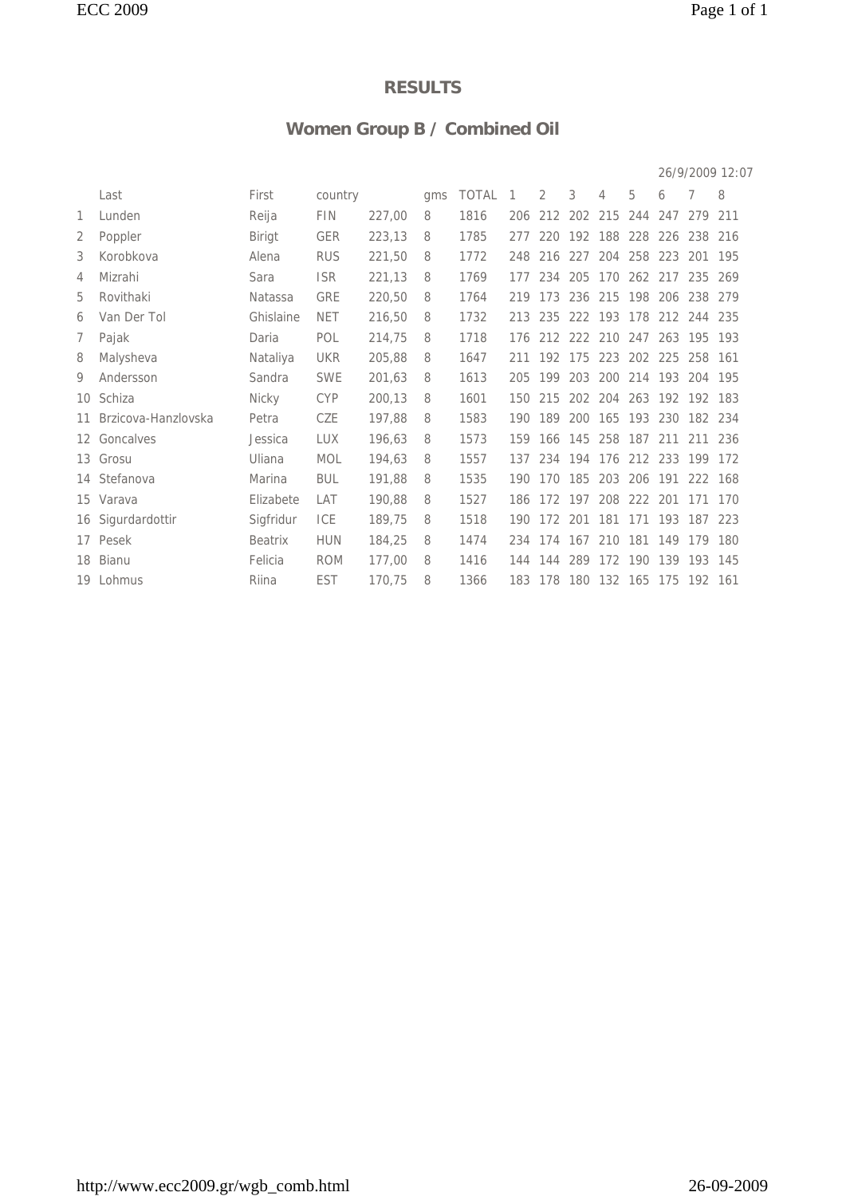## **Women Group B / Combined Oil**

|    |                     |                |            |        |     |              |     |                         |     |                         |                     |         |         | 26/9/2009 12:07 |
|----|---------------------|----------------|------------|--------|-----|--------------|-----|-------------------------|-----|-------------------------|---------------------|---------|---------|-----------------|
|    | Last                | First          | country    |        | qms | <b>TOTAL</b> | 1   | 2                       | 3   | 4                       | 5                   | 6       | 7       | 8               |
| 1  | Lunden              | Reija          | <b>FIN</b> | 227,00 | 8   | 1816         | 206 | 212                     | 202 | 215                     | 244                 | 247     | 279     | 211             |
| 2  | Poppler             | <b>Birigt</b>  | <b>GER</b> | 223,13 | 8   | 1785         | 277 | 220                     | 192 | 188                     | 228                 | 226     | 238     | 216             |
| 3  | Korobkova           | Alena          | <b>RUS</b> | 221,50 | 8   | 1772         | 248 | 216                     | 227 |                         | 204 258             | 223 201 |         | 195             |
| 4  | Mizrahi             | Sara           | <b>ISR</b> | 221,13 | 8   | 1769         | 177 | 234                     | 205 |                         | 170 262 217 235 269 |         |         |                 |
| 5  | Rovithaki           | <b>Natassa</b> | <b>GRE</b> | 220,50 | 8   | 1764         |     | 219 173                 |     | 236 215 198 206 238 279 |                     |         |         |                 |
| 6  | Van Der Tol         | Ghislaine      | <b>NET</b> | 216,50 | 8   | 1732         | 213 | 235                     | 222 | 193 178                 |                     | 212     | 244 235 |                 |
| 7  | Pajak               | Daria          | POL        | 214,75 | 8   | 1718         | 176 |                         |     | 212 222 210 247         |                     | 263 195 |         | 193             |
| 8  | Malysheva           | Nataliya       | <b>UKR</b> | 205,88 | 8   | 1647         |     | 211 192 175             |     |                         | 223 202 225         |         | 258 161 |                 |
| 9  | Andersson           | Sandra         | <b>SWE</b> | 201,63 | 8   | 1613         | 205 | 199                     | 203 |                         | 200 214 193 204 195 |         |         |                 |
|    | 10 Schiza           | Nicky          | <b>CYP</b> | 200,13 | 8   | 1601         |     | 150 215                 |     | 202 204 263 192 192 183 |                     |         |         |                 |
| 11 | Brzicova-Hanzlovska | Petra          | CZE        | 197,88 | 8   | 1583         | 190 | 189                     | 200 | 165                     | 193                 | 230     | 182 234 |                 |
| 12 | Goncalves           | Jessica        | <b>LUX</b> | 196.63 | 8   | 1573         | 159 | 166                     | 145 | 258 187                 |                     | 211     | 211     | 236             |
|    | 13 Grosu            | Uliana         | <b>MOL</b> | 194,63 | 8   | 1557         |     | 137 234 194             |     |                         | 176 212 233 199 172 |         |         |                 |
|    | 14 Stefanova        | Marina         | <b>BUL</b> | 191,88 | 8   | 1535         | 190 | 170 185                 |     |                         | 203 206 191         |         | 222 168 |                 |
|    | 15 Varava           | Elizabete      | LAT        | 190,88 | 8   | 1527         |     | 186 172 197 208 222 201 |     |                         |                     |         | 171     | 170             |
|    | 16 Sigurdardottir   | Sigfridur      | ICE        | 189,75 | 8   | 1518         | 190 | 172                     | 201 | 181                     | 171                 | 193     | 187     | 223             |
|    | 17 Pesek            | <b>Beatrix</b> | <b>HUN</b> | 184,25 | 8   | 1474         | 234 | 174                     | 167 | 210                     | 181 149             |         | 179     | 180             |
|    | 18 Bianu            | Felicia        | <b>ROM</b> | 177,00 | 8   | 1416         | 144 | 144                     | 289 | 172                     | 190                 | 139     | 193     | 145             |
|    | 19 Lohmus           | Riina          | <b>EST</b> | 170,75 | 8   | 1366         |     | 183 178 180             |     | 132 165 175 192 161     |                     |         |         |                 |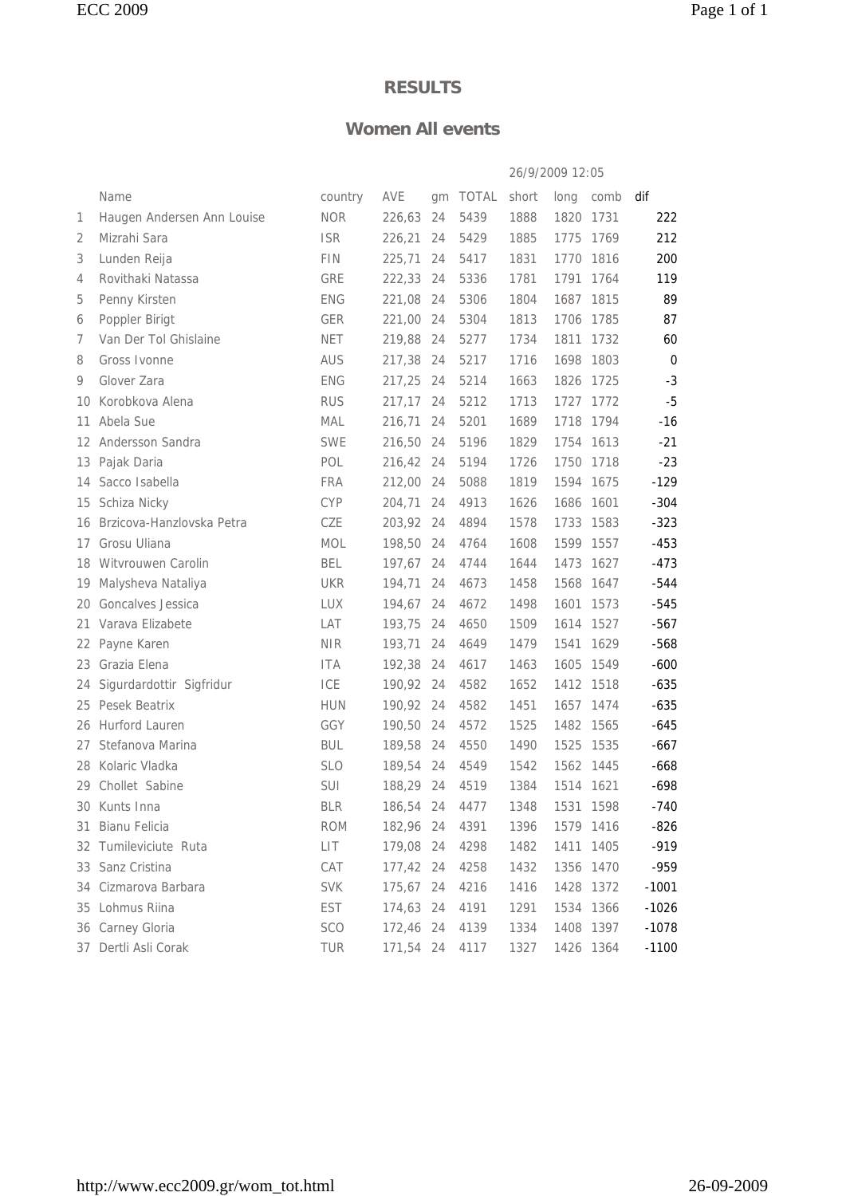#### **Women All events**

|     |                            |            |           |     |       | 26/9/2009 12:05 |           |           |             |
|-----|----------------------------|------------|-----------|-----|-------|-----------------|-----------|-----------|-------------|
|     | Name                       | country    | AVE       | qm  | TOTAL | short           | long      | comb      | dif         |
| 1   | Haugen Andersen Ann Louise | <b>NOR</b> | 226,63    | 24  | 5439  | 1888            | 1820      | 1731      | 222         |
| 2   | Mizrahi Sara               | <b>ISR</b> | 226,21    | 24  | 5429  | 1885            | 1775      | 1769      | 212         |
| 3   | Lunden Reija               | <b>FIN</b> | 225,71    | 24  | 5417  | 1831            | 1770      | 1816      | 200         |
| 4   | Rovithaki Natassa          | GRE        | 222,33    | 24  | 5336  | 1781            | 1791      | 1764      | 119         |
| 5   | Penny Kirsten              | <b>ENG</b> | 221.08    | -24 | 5306  | 1804            | 1687      | 1815      | 89          |
| 6   | Poppler Birigt             | <b>GER</b> | 221,00    | 24  | 5304  | 1813            | 1706      | 1785      | 87          |
| 7   | Van Der Tol Ghislaine      | <b>NET</b> | 219,88    | 24  | 5277  | 1734            | 1811      | 1732      | 60          |
| 8   | Gross Ivonne               | <b>AUS</b> | 217,38    | 24  | 5217  | 1716            | 1698      | 1803      | $\mathbf 0$ |
| 9   | Glover Zara                | <b>ENG</b> | 217,25    | 24  | 5214  | 1663            | 1826      | 1725      | $-3$        |
| 10  | Korobkova Alena            | <b>RUS</b> | 217,17    | 24  | 5212  | 1713            | 1727      | 1772      | $-5$        |
| 11  | Abela Sue                  | <b>MAL</b> | 216,71    | 24  | 5201  | 1689            | 1718      | 1794      | $-16$       |
| 12  | Andersson Sandra           | <b>SWE</b> | 216,50    | 24  | 5196  | 1829            | 1754      | 1613      | $-21$       |
| 13  | Pajak Daria                | POL        | 216,42    | 24  | 5194  | 1726            | 1750      | 1718      | $-23$       |
| 14  | Sacco Isabella             | <b>FRA</b> | 212,00    | 24  | 5088  | 1819            | 1594      | 1675      | $-129$      |
| 15  | Schiza Nicky               | <b>CYP</b> | 204,71    | 24  | 4913  | 1626            | 1686 1601 |           | $-304$      |
| 16  | Brzicova-Hanzlovska Petra  | CZE        | 203,92 24 |     | 4894  | 1578            | 1733      | 1583      | $-323$      |
| 17  | Grosu Uliana               | <b>MOL</b> | 198,50    | 24  | 4764  | 1608            | 1599 1557 |           | $-453$      |
| 18  | Witvrouwen Carolin         | <b>BEL</b> | 197,67    | 24  | 4744  | 1644            | 1473      | 1627      | $-473$      |
| 19  | Malysheva Nataliya         | <b>UKR</b> | 194,71    | 24  | 4673  | 1458            | 1568      | 1647      | -544        |
| 20  | Goncalves Jessica          | <b>LUX</b> | 194,67    | 24  | 4672  | 1498            | 1601      | 1573      | $-545$      |
| 21  | Varava Elizabete           | LAT        | 193,75    | 24  | 4650  | 1509            | 1614      | 1527      | $-567$      |
| 22  | Payne Karen                | <b>NIR</b> | 193,71    | 24  | 4649  | 1479            | 1541      | 1629      | $-568$      |
| 23  | Grazia Elena               | <b>ITA</b> | 192,38    | 24  | 4617  | 1463            | 1605      | 1549      | $-600$      |
| 24  | Sigurdardottir Sigfridur   | ICE        | 190,92 24 |     | 4582  | 1652            | 1412      | 1518      | $-635$      |
| 25  | Pesek Beatrix              | <b>HUN</b> | 190,92 24 |     | 4582  | 1451            | 1657      | 1474      | $-635$      |
|     | 26 Hurford Lauren          | GGY        | 190.50    | 24  | 4572  | 1525            | 1482      | 1565      | $-645$      |
| 27  | Stefanova Marina           | <b>BUL</b> | 189,58    | 24  | 4550  | 1490            | 1525      | 1535      | $-667$      |
| 28  | Kolaric Vladka             | <b>SLO</b> | 189,54    | 24  | 4549  | 1542            | 1562      | 1445      | $-668$      |
| 29. | Chollet Sabine             | <b>SUI</b> | 188,29 24 |     | 4519  | 1384            | 1514 1621 |           | $-698$      |
|     | 30 Kunts Inna              | <b>BLR</b> | 186,54 24 |     | 4477  | 1348            | 1531 1598 |           | $-740$      |
|     | 31 Bianu Felicia           | <b>ROM</b> | 182,96 24 |     | 4391  | 1396            |           | 1579 1416 | $-826$      |
|     | 32 Tumileviciute Ruta      | LIT        | 179,08 24 |     | 4298  | 1482            | 1411 1405 |           | $-919$      |
|     | 33 Sanz Cristina           | CAT        | 177,42 24 |     | 4258  | 1432            | 1356 1470 |           | -959        |
| 34  | Cizmarova Barbara          | <b>SVK</b> | 175,67 24 |     | 4216  | 1416            | 1428 1372 |           | $-1001$     |
|     | 35 Lohmus Riina            | EST        | 174,63 24 |     | 4191  | 1291            | 1534 1366 |           | $-1026$     |
|     | 36 Carney Gloria           | <b>SCO</b> | 172,46 24 |     | 4139  | 1334            | 1408 1397 |           | $-1078$     |
|     | 37 Dertli Asli Corak       | TUR        | 171,54 24 |     | 4117  | 1327            | 1426 1364 |           | $-1100$     |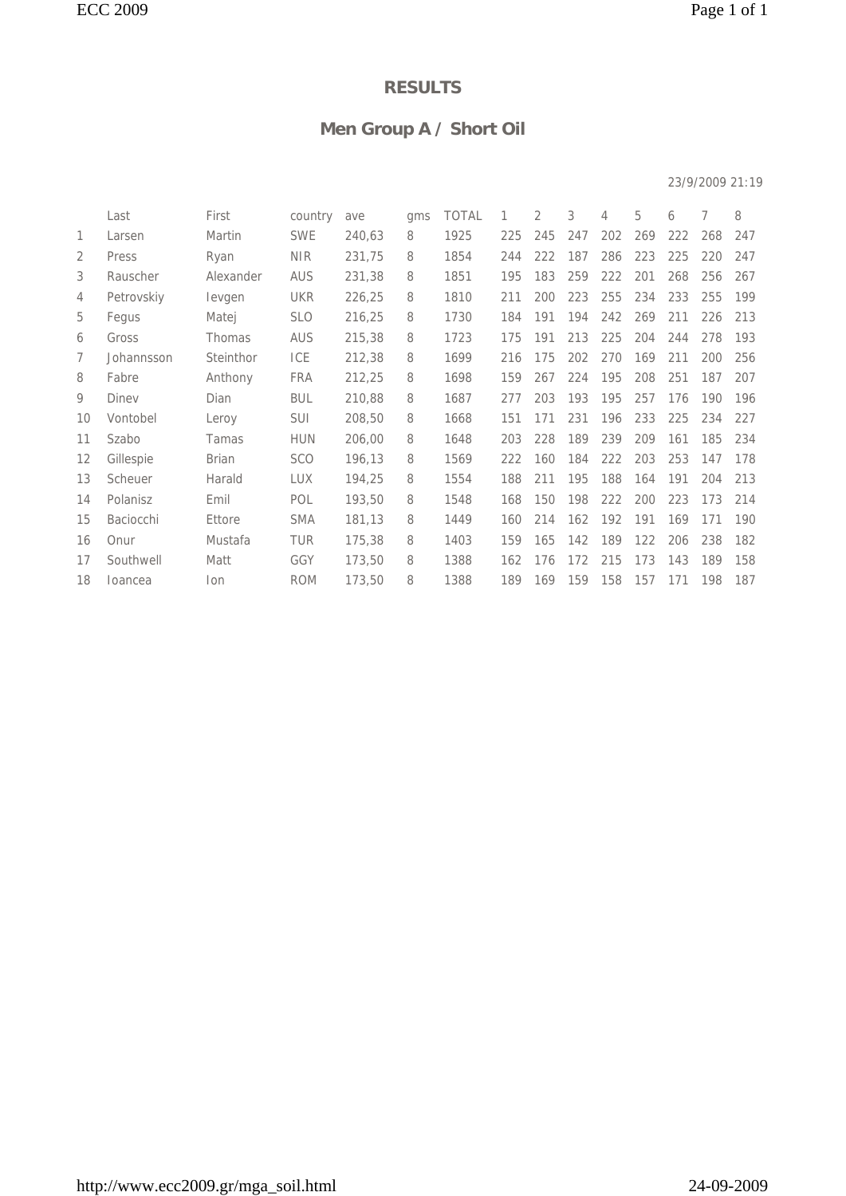## **Men Group A / Short Oil**

#### 23/9/2009 21:19

|                | Last       | First        | country    | ave    | qms | <b>TOTAL</b> | 1   | 2   | 3   | 4   | 5   | 6   | 7   | 8   |
|----------------|------------|--------------|------------|--------|-----|--------------|-----|-----|-----|-----|-----|-----|-----|-----|
| 1              | Larsen     | Martin       | <b>SWE</b> | 240,63 | 8   | 1925         | 225 | 245 | 247 | 202 | 269 | 222 | 268 | 247 |
| 2              | Press      | Ryan         | <b>NIR</b> | 231,75 | 8   | 1854         | 244 | 222 | 187 | 286 | 223 | 225 | 220 | 247 |
| 3              | Rauscher   | Alexander    | <b>AUS</b> | 231,38 | 8   | 1851         | 195 | 183 | 259 | 222 | 201 | 268 | 256 | 267 |
| $\overline{4}$ | Petrovskiy | levgen       | <b>UKR</b> | 226,25 | 8   | 1810         | 211 | 200 | 223 | 255 | 234 | 233 | 255 | 199 |
| 5              | Fegus      | Matej        | <b>SLO</b> | 216,25 | 8   | 1730         | 184 | 191 | 194 | 242 | 269 | 211 | 226 | 213 |
| 6              | Gross      | Thomas       | <b>AUS</b> | 215,38 | 8   | 1723         | 175 | 191 | 213 | 225 | 204 | 244 | 278 | 193 |
| 7              | Johannsson | Steinthor    | ICE        | 212,38 | 8   | 1699         | 216 | 175 | 202 | 270 | 169 | 211 | 200 | 256 |
| 8              | Fabre      | Anthony      | <b>FRA</b> | 212,25 | 8   | 1698         | 159 | 267 | 224 | 195 | 208 | 251 | 187 | 207 |
| 9              | Diney      | Dian         | <b>BUL</b> | 210,88 | 8   | 1687         | 277 | 203 | 193 | 195 | 257 | 176 | 190 | 196 |
| 10             | Vontobel   | Leroy        | <b>SUI</b> | 208,50 | 8   | 1668         | 151 | 171 | 231 | 196 | 233 | 225 | 234 | 227 |
| 11             | Szabo      | Tamas        | <b>HUN</b> | 206,00 | 8   | 1648         | 203 | 228 | 189 | 239 | 209 | 161 | 185 | 234 |
| 12             | Gillespie  | <b>Brian</b> | <b>SCO</b> | 196,13 | 8   | 1569         | 222 | 160 | 184 | 222 | 203 | 253 | 147 | 178 |
| 13             | Scheuer    | Harald       | <b>LUX</b> | 194,25 | 8   | 1554         | 188 | 211 | 195 | 188 | 164 | 191 | 204 | 213 |
| 14             | Polanisz   | Emil         | POL        | 193,50 | 8   | 1548         | 168 | 150 | 198 | 222 | 200 | 223 | 173 | 214 |
| 15             | Baciocchi  | Ettore       | <b>SMA</b> | 181,13 | 8   | 1449         | 160 | 214 | 162 | 192 | 191 | 169 | 171 | 190 |
| 16             | Onur       | Mustafa      | <b>TUR</b> | 175,38 | 8   | 1403         | 159 | 165 | 142 | 189 | 122 | 206 | 238 | 182 |
| 17             | Southwell  | Matt         | GGY        | 173,50 | 8   | 1388         | 162 | 176 | 172 | 215 | 173 | 143 | 189 | 158 |
| 18             | Ioancea    | lon          | <b>ROM</b> | 173,50 | 8   | 1388         | 189 | 169 | 159 | 158 | 157 | 171 | 198 | 187 |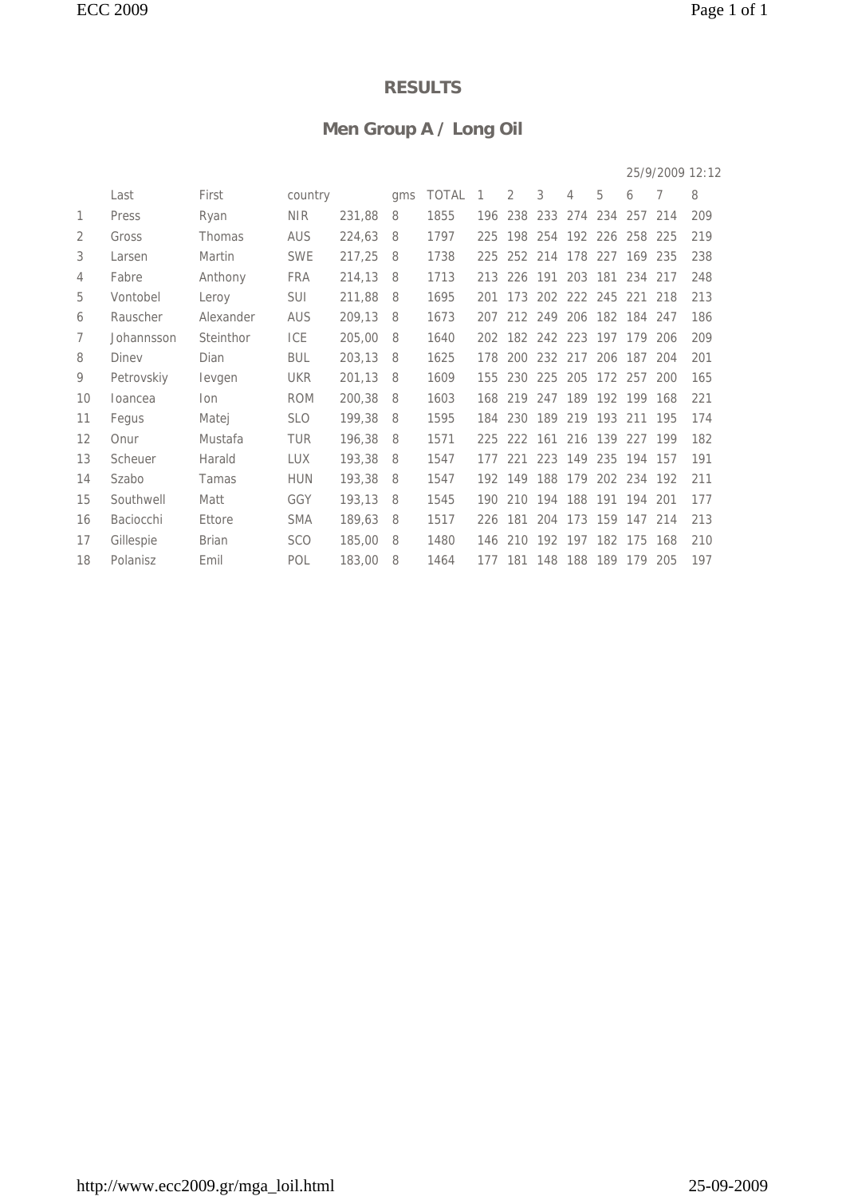## **Men Group A / Long Oil**

|    |            |              |            |        |     |       |                |     |             |         |                 |             | 25/9/2009 12:12 |     |
|----|------------|--------------|------------|--------|-----|-------|----------------|-----|-------------|---------|-----------------|-------------|-----------------|-----|
|    | Last       | First        | country    |        | gms | TOTAL | $\overline{1}$ | 2   | 3           | 4       | 5               | 6           | 7               | 8   |
| 1  | Press      | Ryan         | <b>NIR</b> | 231,88 | 8   | 1855  | 196            | 238 | 233         | 274     | 234             | 257         | 214             | 209 |
| 2  | Gross      | Thomas       | <b>AUS</b> | 224,63 | 8   | 1797  | 225            | 198 |             |         | 254 192 226 258 |             | 225             | 219 |
| 3  | Larsen     | Martin       | <b>SWE</b> | 217,25 | 8   | 1738  | 225            |     | 252 214     | 178     | 227             | 169         | 235             | 238 |
| 4  | Fabre      | Anthony      | <b>FRA</b> | 214,13 | 8   | 1713  | 213            | 226 | 191         | 203     | 181             | 234         | 217             | 248 |
| 5  | Vontobel   | Leroy        | <b>SUI</b> | 211,88 | 8   | 1695  | 201            | 173 |             | 202 222 | 245             | 221         | 218             | 213 |
| 6  | Rauscher   | Alexander    | <b>AUS</b> | 209,13 | 8   | 1673  | 207            |     | 212 249     | 206     |                 | 182 184     | 247             | 186 |
| 7  | Johannsson | Steinthor    | ICE        | 205,00 | 8   | 1640  | 202            |     | 182 242 223 |         | 197             | 179         | 206             | 209 |
| 8  | Diney      | Dian         | <b>BUL</b> | 203,13 | 8   | 1625  | 178            | 200 | 232 217     |         | 206             | 187         | 204             | 201 |
| 9  | Petrovskiy | levgen       | <b>UKR</b> | 201,13 | 8   | 1609  | 155            | 230 |             | 225 205 | 172 257         |             | 200             | 165 |
| 10 | loancea    | lon.         | <b>ROM</b> | 200,38 | 8   | 1603  | 168            | 219 |             |         | 247 189 192 199 |             | 168             | 221 |
| 11 | Fegus      | Matej        | <b>SLO</b> | 199,38 | 8   | 1595  | 184            | 230 | 189         | 219     | 193             | 211         | 195             | 174 |
| 12 | Onur       | Mustafa      | <b>TUR</b> | 196,38 | 8   | 1571  | 225            | 222 | 161         | 216     | 139             | 227         | 199             | 182 |
| 13 | Scheuer    | Harald       | <b>LUX</b> | 193,38 | 8   | 1547  | 177            | 221 | 223         | 149     | 235             | 194         | 157             | 191 |
| 14 | Szabo      | Tamas        | <b>HUN</b> | 193,38 | 8   | 1547  | 192            | 149 | 188         | 179     |                 | 202 234 192 |                 | 211 |
| 15 | Southwell  | Matt         | GGY        | 193,13 | 8   | 1545  | 190            | 210 | 194         | 188     | 191             | 194         | 201             | 177 |
| 16 | Baciocchi  | Ettore       | <b>SMA</b> | 189,63 | 8   | 1517  | 226            | 181 | 204         | 173     | 159             | 147         | 214             | 213 |
| 17 | Gillespie  | <b>Brian</b> | <b>SCO</b> | 185,00 | 8   | 1480  | 146            | 210 | 192 197     |         | 182             | 175         | 168             | 210 |
| 18 | Polanisz   | Emil         | POL        | 183,00 | 8   | 1464  | 177            | 181 |             | 148 188 | 189             | 179         | 205             | 197 |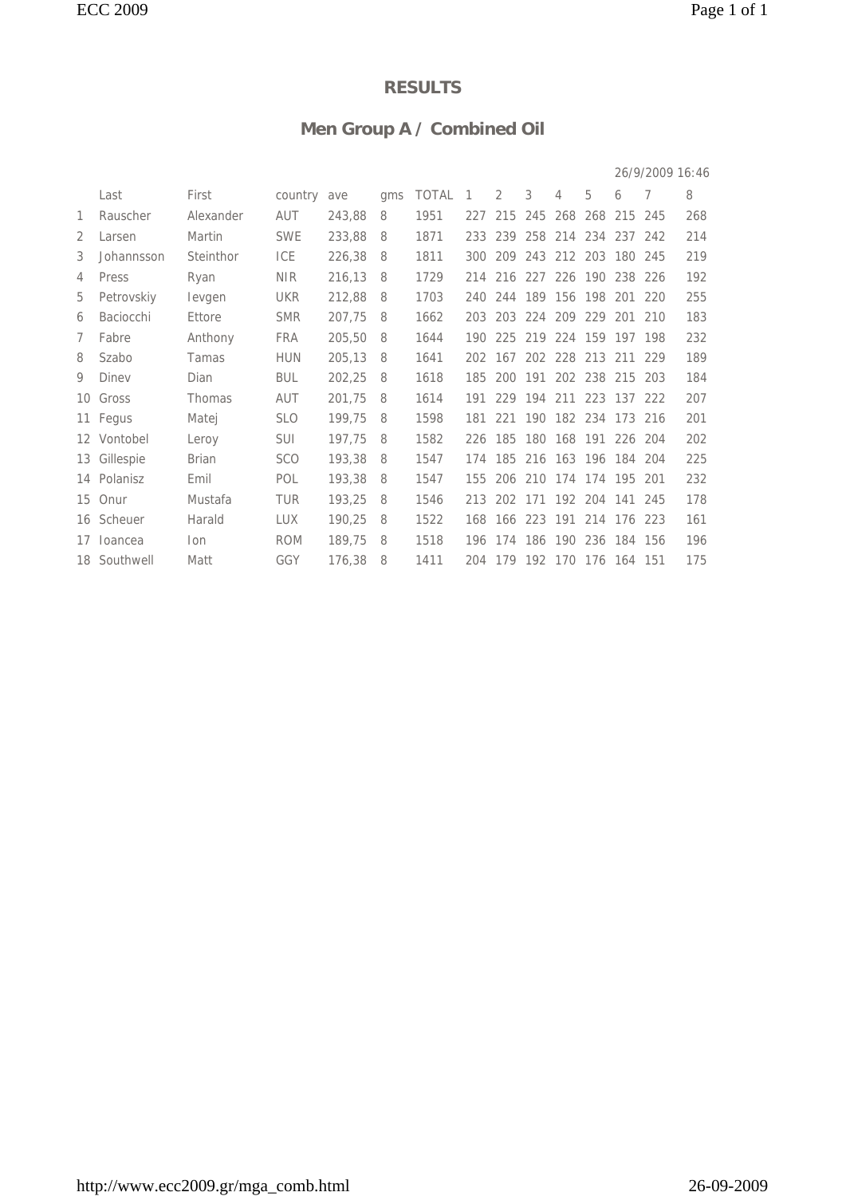## **Men Group A / Combined Oil**

|    |              |              |            |        |     |              |     |         |             |                             |             |                 | 26/9/2009 16:46 |     |
|----|--------------|--------------|------------|--------|-----|--------------|-----|---------|-------------|-----------------------------|-------------|-----------------|-----------------|-----|
|    | Last         | First        | country    | ave    | qms | <b>TOTAL</b> | 1   | 2       | 3           | 4                           | 5           | 6               | 7               | 8   |
| 1. | Rauscher     | Alexander    | AUT        | 243,88 | 8   | 1951         | 227 | 215     | 245         |                             |             | 268 268 215     | 245             | 268 |
| 2  | Larsen       | Martin       | <b>SWE</b> | 233,88 | 8   | 1871         | 233 |         | 239 258     |                             |             | 214 234 237 242 |                 | 214 |
| 3  | Johannsson   | Steinthor    | <b>ICE</b> | 226,38 | 8   | 1811         | 300 | 209     | 243         | 212 203                     |             | 180             | 245             | 219 |
| 4  | Press        | Ryan         | <b>NIR</b> | 216,13 | 8   | 1729         | 214 | 216     | 227         | 226                         | 190         | 238             | 226             | 192 |
| 5  | Petrovskiy   | levgen       | <b>UKR</b> | 212,88 | 8   | 1703         | 240 | 244     | 189 156     |                             | 198         | 201             | 220             | 255 |
| 6  | Baciocchi    | Ettore       | <b>SMR</b> | 207,75 | 8   | 1662         | 203 |         |             | 203 224 209 229 201 210     |             |                 |                 | 183 |
| 7  | Fabre        | Anthony      | <b>FRA</b> | 205,50 | 8   | 1644         | 190 |         | 225 219     | 224 159 197 198             |             |                 |                 | 232 |
| 8  | Szabo        | Tamas        | <b>HUN</b> | 205,13 | 8   | 1641         |     |         |             | 202 167 202 228 213 211 229 |             |                 |                 | 189 |
| 9  | Diney        | Dian         | <b>BUL</b> | 202,25 | 8   | 1618         | 185 | 200     |             | 191 202 238 215             |             |                 | 203             | 184 |
|    | 10 Gross     | Thomas       | <b>AUT</b> | 201,75 | 8   | 1614         |     |         | 191 229 194 | 211 223 137 222             |             |                 |                 | 207 |
|    | 11 Fegus     | Matej        | <b>SLO</b> | 199,75 | 8   | 1598         | 181 | 221     | 190         |                             | 182 234 173 |                 | 216             | 201 |
|    | 12 Vontobel  | Leroy        | <b>SUI</b> | 197,75 | 8   | 1582         | 226 | 185     | 180         | 168                         | 191         | 226             | 204             | 202 |
| 13 | Gillespie    | <b>Brian</b> | <b>SCO</b> | 193,38 | 8   | 1547         | 174 | 185     | 216         | 163 196 184 204             |             |                 |                 | 225 |
| 14 | Polanisz     | Emil         | POL        | 193,38 | 8   | 1547         | 155 | 206 210 |             | 174 174 195                 |             |                 | 201             | 232 |
| 15 | Onur         | Mustafa      | <b>TUR</b> | 193,25 | 8   | 1546         | 213 |         |             | 202 171 192 204 141 245     |             |                 |                 | 178 |
|    | 16 Scheuer   | Harald       | <b>LUX</b> | 190,25 | 8   | 1522         |     |         |             | 168 166 223 191 214 176 223 |             |                 |                 | 161 |
| 17 | loancea      | lon          | <b>ROM</b> | 189,75 | 8   | 1518         |     |         |             | 196 174 186 190 236 184 156 |             |                 |                 | 196 |
|    | 18 Southwell | Matt         | GGY        | 176,38 | 8   | 1411         |     |         |             | 204 179 192 170 176 164 151 |             |                 |                 | 175 |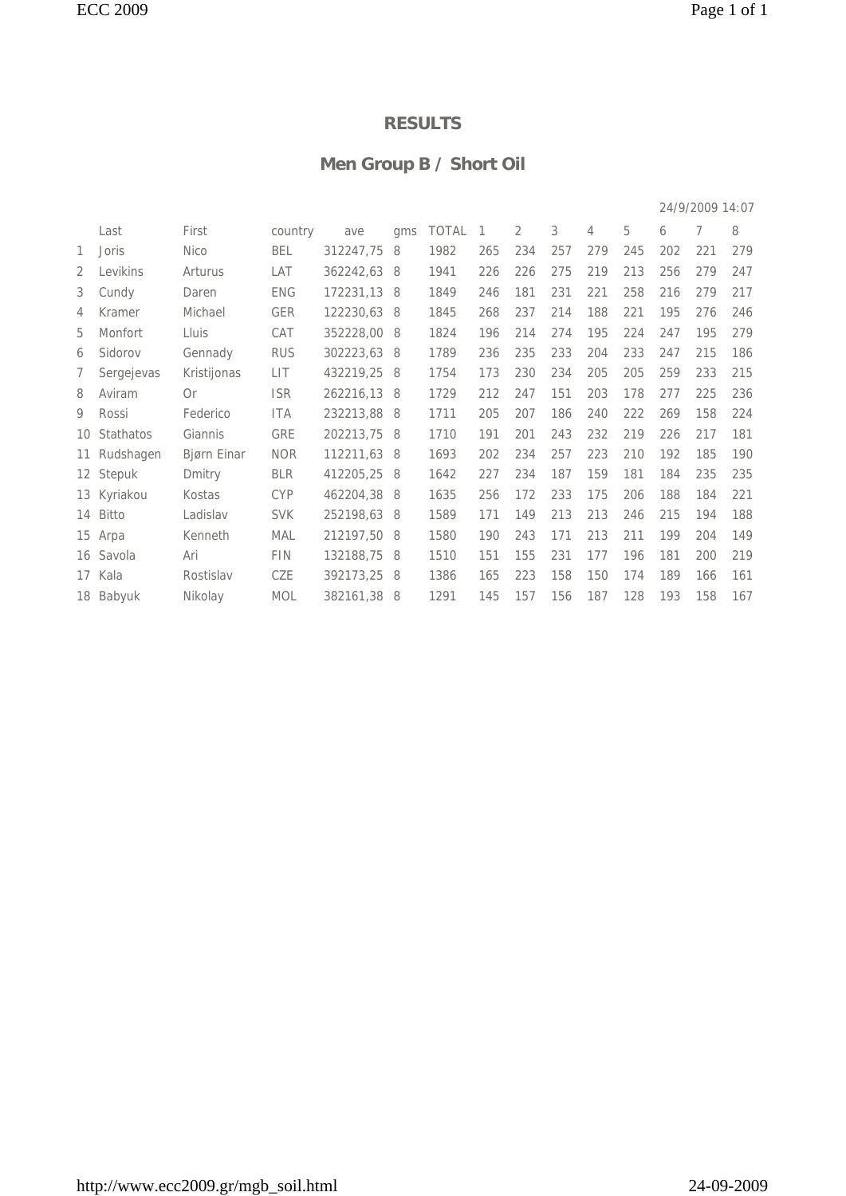#### **Men Group B / Short Oil**

|                 |             |             |            |           |     |              |     |     |     |     |     |     | 24/9/2009 14:07 |     |
|-----------------|-------------|-------------|------------|-----------|-----|--------------|-----|-----|-----|-----|-----|-----|-----------------|-----|
|                 | Last        | First       | country    | ave       | qms | <b>TOTAL</b> | 1   | 2   | 3   | 4   | 5   | 6   | 7               | 8   |
| 1               | Joris       | <b>Nico</b> | <b>BEL</b> | 312247,75 | 8   | 1982         | 265 | 234 | 257 | 279 | 245 | 202 | 221             | 279 |
| 2               | Levikins    | Arturus     | LAT        | 362242,63 | -8  | 1941         | 226 | 226 | 275 | 219 | 213 | 256 | 279             | 247 |
| 3               | Cundy       | Daren       | <b>ENG</b> | 172231,13 | 8   | 1849         | 246 | 181 | 231 | 221 | 258 | 216 | 279             | 217 |
| 4               | Kramer      | Michael     | <b>GER</b> | 122230,63 | 8   | 1845         | 268 | 237 | 214 | 188 | 221 | 195 | 276             | 246 |
| 5               | Monfort     | Lluis       | CAT        | 352228,00 | 8   | 1824         | 196 | 214 | 274 | 195 | 224 | 247 | 195             | 279 |
| 6               | Sidorov     | Gennady     | <b>RUS</b> | 302223,63 | -8  | 1789         | 236 | 235 | 233 | 204 | 233 | 247 | 215             | 186 |
| 7               | Sergejevas  | Kristijonas | LIT        | 432219,25 | 8   | 1754         | 173 | 230 | 234 | 205 | 205 | 259 | 233             | 215 |
| 8               | Aviram      | 0r          | <b>ISR</b> | 262216,13 | 8   | 1729         | 212 | 247 | 151 | 203 | 178 | 277 | 225             | 236 |
| 9               | Rossi       | Federico    | <b>ITA</b> | 232213,88 | - 8 | 1711         | 205 | 207 | 186 | 240 | 222 | 269 | 158             | 224 |
| 10 <sup>1</sup> | Stathatos   | Giannis     | <b>GRE</b> | 202213,75 | 8   | 1710         | 191 | 201 | 243 | 232 | 219 | 226 | 217             | 181 |
| 11              | Rudshagen   | Bjørn Einar | <b>NOR</b> | 112211,63 | -8  | 1693         | 202 | 234 | 257 | 223 | 210 | 192 | 185             | 190 |
|                 | 12 Stepuk   | Dmitry      | <b>BLR</b> | 412205,25 | 8   | 1642         | 227 | 234 | 187 | 159 | 181 | 184 | 235             | 235 |
|                 | 13 Kyriakou | Kostas      | <b>CYP</b> | 462204,38 | 8   | 1635         | 256 | 172 | 233 | 175 | 206 | 188 | 184             | 221 |
|                 | 14 Bitto    | Ladislav    | <b>SVK</b> | 252198,63 | 8   | 1589         | 171 | 149 | 213 | 213 | 246 | 215 | 194             | 188 |
|                 | 15 Arpa     | Kenneth     | MAL        | 212197.50 | -8  | 1580         | 190 | 243 | 171 | 213 | 211 | 199 | 204             | 149 |
|                 | 16 Savola   | Ari         | FIN        | 132188,75 | 8   | 1510         | 151 | 155 | 231 | 177 | 196 | 181 | 200             | 219 |
|                 | 17 Kala     | Rostislav   | CZE        | 392173,25 | 8   | 1386         | 165 | 223 | 158 | 150 | 174 | 189 | 166             | 161 |
|                 | 18 Babyuk   | Nikolay     | <b>MOL</b> | 382161,38 | 8   | 1291         | 145 | 157 | 156 | 187 | 128 | 193 | 158             | 167 |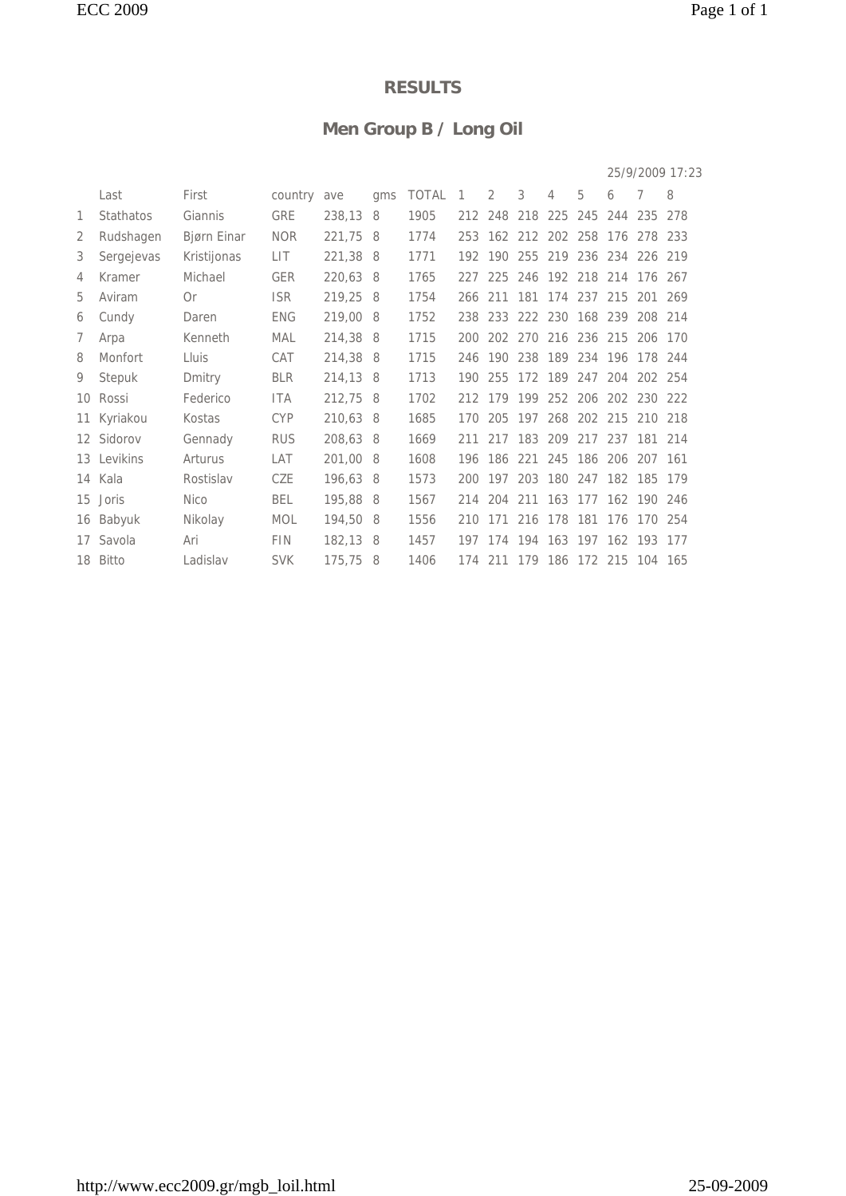## **Men Group B / Long Oil**

|    |             |             |            |          |     |              |              |         |             |   |                 |                 |                                 | 25/9/2009 17:23 |
|----|-------------|-------------|------------|----------|-----|--------------|--------------|---------|-------------|---|-----------------|-----------------|---------------------------------|-----------------|
|    | Last        | First       | country    | ave      | qms | <b>TOTAL</b> | $\mathbf{1}$ | 2       | 3           | 4 | 5               | 6               | 7                               | 8               |
| 1  | Stathatos   | Giannis     | <b>GRE</b> | 238,13   | 8   | 1905         |              | 212 248 |             |   |                 |                 | 218 225 245 244 235 278         |                 |
| 2  | Rudshagen   | Bjørn Einar | <b>NOR</b> | 221,75   | - 8 | 1774         |              |         |             |   |                 |                 | 253 162 212 202 258 176 278 233 |                 |
| 3  | Sergejevas  | Kristijonas | LIT        | 221,38 8 |     | 1771         |              | 192 190 |             |   |                 |                 | 255 219 236 234 226 219         |                 |
| 4  | Kramer      | Michael     | <b>GER</b> | 220,63 8 |     | 1765         |              | 227 225 |             |   |                 |                 | 246 192 218 214 176 267         |                 |
| 5  | Aviram      | 0r          | <b>ISR</b> | 219,25 8 |     | 1754         |              | 266 211 |             |   | 181 174 237 215 |                 | 201                             | 269             |
| 6  | Cundy       | Daren       | <b>ENG</b> | 219,00 8 |     | 1752         | 238          | 233     |             |   | 222 230 168 239 |                 | 208                             | 214             |
| 7  | Arpa        | Kenneth     | <b>MAL</b> | 214,38 8 |     | 1715         | 200          | 202     | 270         |   | 216 236 215     |                 | 206                             | 170             |
| 8  | Monfort     | Lluis       | CAT        | 214,38 8 |     | 1715         |              |         |             |   |                 |                 | 246 190 238 189 234 196 178 244 |                 |
| 9  | Stepuk      | Dmitry      | <b>BLR</b> | 214,13 8 |     | 1713         | 190          |         |             |   |                 |                 | 255 172 189 247 204 202 254     |                 |
|    | 10 Rossi    | Federico    | <b>ITA</b> | 212,75 8 |     | 1702         |              |         |             |   |                 |                 | 212 179 199 252 206 202 230 222 |                 |
| 11 | Kyriakou    | Kostas      | <b>CYP</b> | 210,63 8 |     | 1685         |              |         |             |   |                 |                 | 170 205 197 268 202 215 210 218 |                 |
|    | 12 Sidorov  | Gennady     | <b>RUS</b> | 208,63 8 |     | 1669         | 211          |         | 217 183 209 |   | 217 237         |                 | 181                             | 214             |
|    | 13 Levikins | Arturus     | LAT        | 201,00 8 |     | 1608         | 196          | 186     | 221         |   | 245 186 206     |                 | 207                             | 161             |
|    | 14 Kala     | Rostislav   | CZE        | 196,63 8 |     | 1573         | 200          | 197     | 203         |   |                 | 180 247 182 185 |                                 | 179             |
| 15 | Joris       | <b>Nico</b> | BEL        | 195,88 8 |     | 1567         |              | 214 204 |             |   |                 |                 | 211 163 177 162 190 246         |                 |
|    | 16 Babyuk   | Nikolay     | <b>MOL</b> | 194,50 8 |     | 1556         | 210          | 171     |             |   |                 |                 | 216 178 181 176 170 254         |                 |
| 17 | Savola      | Ari         | <b>FIN</b> | 182,13 8 |     | 1457         |              | 197 174 |             |   |                 |                 | 194 163 197 162 193 177         |                 |
|    | 18 Bitto    | Ladislav    | <b>SVK</b> | 175,75   | -8  | 1406         |              |         |             |   |                 |                 | 174 211 179 186 172 215 104 165 |                 |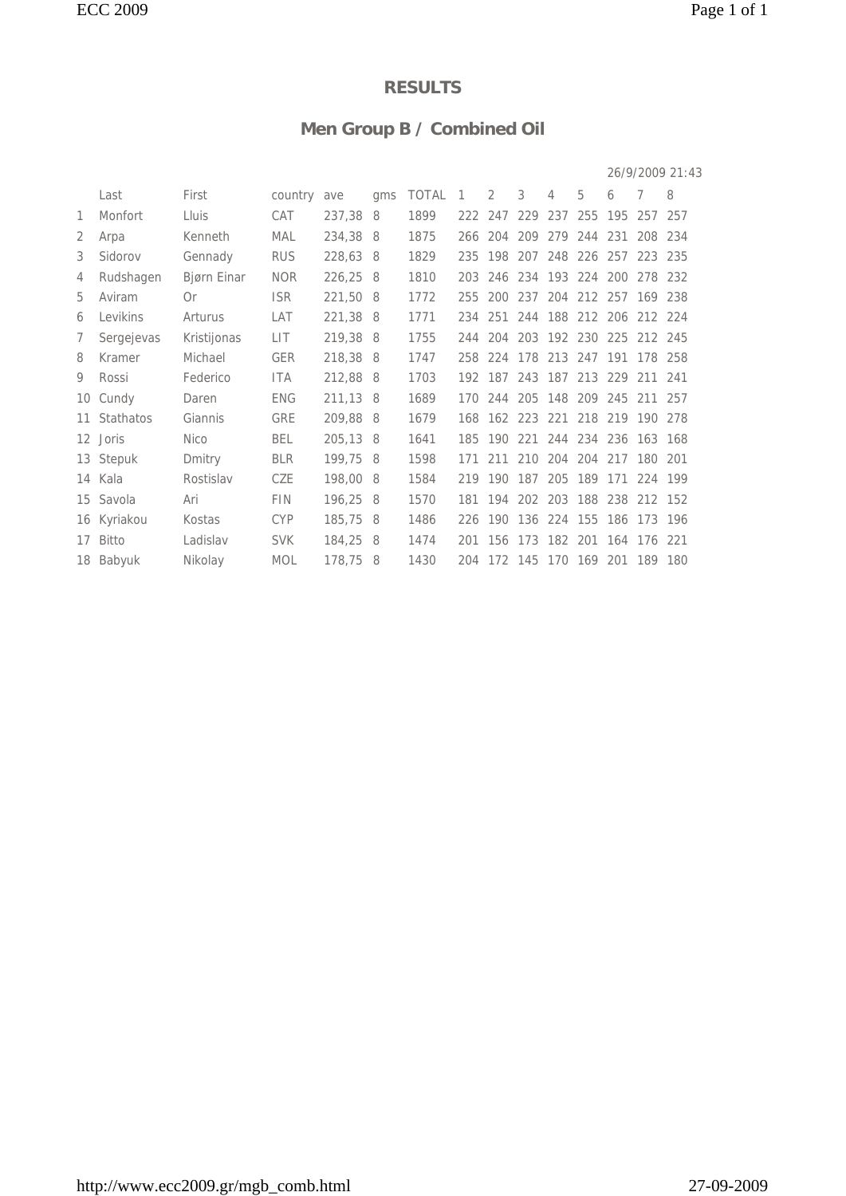## **Men Group B / Combined Oil**

|    |              |             |            |          |     |              |                |         |     |   |                 |   |                                 | 26/9/2009 21:43 |
|----|--------------|-------------|------------|----------|-----|--------------|----------------|---------|-----|---|-----------------|---|---------------------------------|-----------------|
|    | Last         | First       | country    | ave      | qms | <b>TOTAL</b> | $\overline{1}$ | 2       | 3   | 4 | 5               | 6 | 7                               | 8               |
| 1  | Monfort      | Lluis       | CAT        | 237,38 8 |     | 1899         |                | 222 247 |     |   |                 |   | 229 237 255 195 257 257         |                 |
| 2  | Arpa         | Kenneth     | MAL        | 234,38 8 |     | 1875         |                | 266 204 |     |   |                 |   | 209 279 244 231 208 234         |                 |
| 3  | Sidorov      | Gennady     | <b>RUS</b> | 228,63 8 |     | 1829         |                |         |     |   |                 |   | 235 198 207 248 226 257 223 235 |                 |
| 4  | Rudshagen    | Bjørn Einar | <b>NOR</b> | 226,25 8 |     | 1810         |                |         |     |   |                 |   | 203 246 234 193 224 200 278 232 |                 |
| 5  | Aviram       | 0r          | <b>ISR</b> | 221,50 8 |     | 1772         | 255            | 200     | 237 |   |                 |   | 204 212 257 169                 | 238             |
| 6  | Levikins     | Arturus     | LAT        | 221,38 8 |     | 1771         | 234            | 251     |     |   |                 |   | 244 188 212 206 212 224         |                 |
| 7  | Sergejevas   | Kristijonas | LIT        | 219,38 8 |     | 1755         |                |         |     |   |                 |   | 244 204 203 192 230 225 212 245 |                 |
| 8  | Kramer       | Michael     | <b>GER</b> | 218,38 8 |     | 1747         |                |         |     |   |                 |   | 258 224 178 213 247 191 178 258 |                 |
| 9  | Rossi        | Federico    | <b>ITA</b> | 212,88 8 |     | 1703         |                |         |     |   |                 |   | 192 187 243 187 213 229 211 241 |                 |
| 10 | Cundy        | Daren       | <b>ENG</b> | 211,13 8 |     | 1689         |                |         |     |   |                 |   | 170 244 205 148 209 245 211 257 |                 |
|    | 11 Stathatos | Giannis     | GRE        | 209,88 8 |     | 1679         |                |         |     |   |                 |   | 168 162 223 221 218 219 190 278 |                 |
|    | 12 Joris     | <b>Nico</b> | <b>BEL</b> | 205,13 8 |     | 1641         | 185            | 190     | 221 |   | 244 234 236 163 |   |                                 | 168             |
|    | 13 Stepuk    | Dmitry      | <b>BLR</b> | 199,75 8 |     | 1598         | 171            | 211     | 210 |   | 204 204 217     |   | 180                             | 201             |
|    | 14 Kala      | Rostislav   | CZE        | 198,00 8 |     | 1584         | 219            |         |     |   |                 |   | 190 187 205 189 171 224 199     |                 |
|    | 15 Savola    | Ari         | <b>FIN</b> | 196,25 8 |     | 1570         |                |         |     |   |                 |   | 181 194 202 203 188 238 212 152 |                 |
|    | 16 Kyriakou  | Kostas      | <b>CYP</b> | 185,75 8 |     | 1486         |                |         |     |   |                 |   | 226 190 136 224 155 186 173 196 |                 |
|    | 17 Bitto     | Ladislav    | <b>SVK</b> | 184,25 8 |     | 1474         |                |         |     |   |                 |   | 201 156 173 182 201 164 176 221 |                 |
|    | 18 Babyuk    | Nikolay     | <b>MOL</b> | 178,75 8 |     | 1430         |                |         |     |   |                 |   | 204 172 145 170 169 201 189 180 |                 |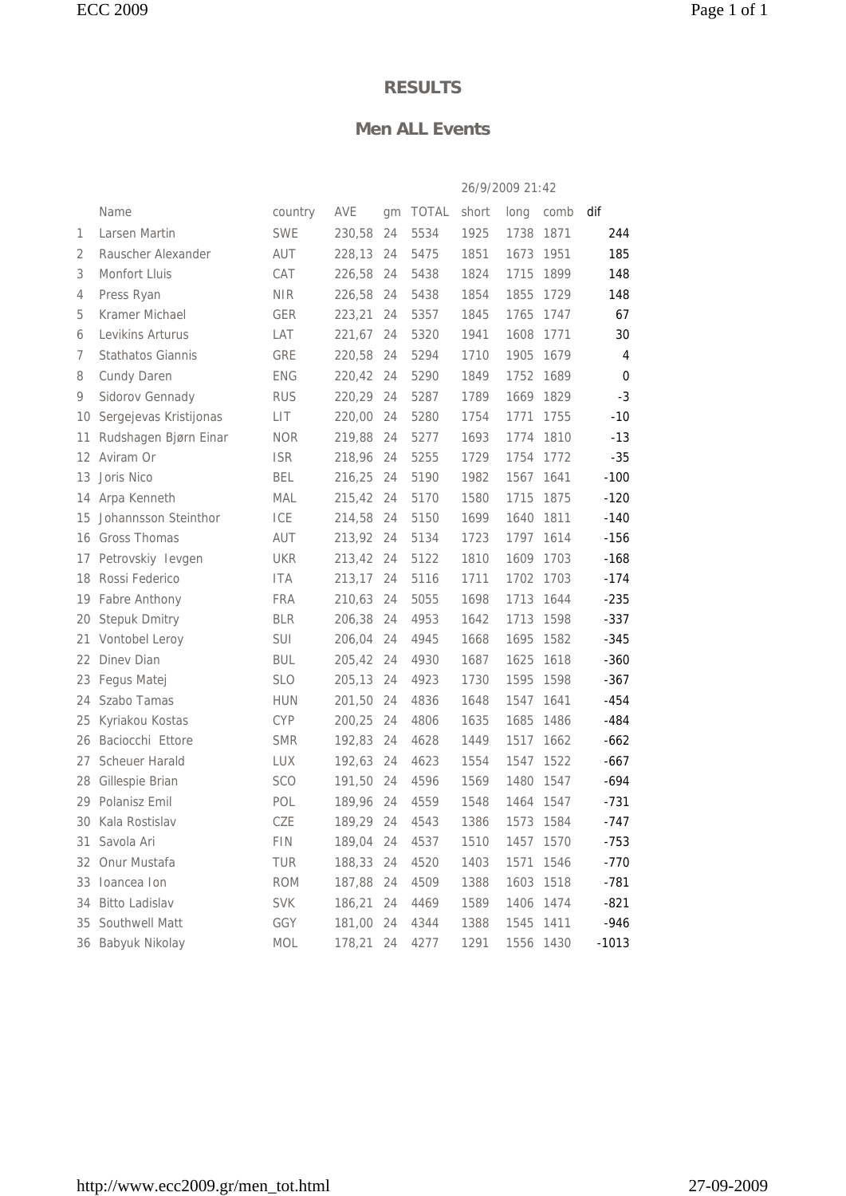#### **Men ALL Events**

|    |                          |            |        |    |       | 26/9/2009 21:42 |           |      |             |
|----|--------------------------|------------|--------|----|-------|-----------------|-----------|------|-------------|
|    | Name                     | country    | AVE    | gm | TOTAL | short           | long      | comb | dif         |
| 1  | Larsen Martin            | <b>SWE</b> | 230,58 | 24 | 5534  | 1925            | 1738      | 1871 | 244         |
| 2  | Rauscher Alexander       | AUT        | 228,13 | 24 | 5475  | 1851            | 1673      | 1951 | 185         |
| 3  | Monfort Lluis            | CAT        | 226,58 | 24 | 5438  | 1824            | 1715      | 1899 | 148         |
| 4  | Press Ryan               | <b>NIR</b> | 226,58 | 24 | 5438  | 1854            | 1855      | 1729 | 148         |
| 5  | Kramer Michael           | <b>GER</b> | 223,21 | 24 | 5357  | 1845            | 1765      | 1747 | 67          |
| 6  | Levikins Arturus         | LAT        | 221,67 | 24 | 5320  | 1941            | 1608      | 1771 | 30          |
| 7  | <b>Stathatos Giannis</b> | GRE        | 220,58 | 24 | 5294  | 1710            | 1905      | 1679 | 4           |
| 8  | Cundy Daren              | <b>ENG</b> | 220,42 | 24 | 5290  | 1849            | 1752      | 1689 | $\mathbf 0$ |
| 9  | Sidorov Gennady          | <b>RUS</b> | 220,29 | 24 | 5287  | 1789            | 1669      | 1829 | $-3$        |
| 10 | Sergejevas Kristijonas   | LIT        | 220,00 | 24 | 5280  | 1754            | 1771      | 1755 | $-10$       |
| 11 | Rudshagen Bjørn Einar    | <b>NOR</b> | 219,88 | 24 | 5277  | 1693            | 1774      | 1810 | $-13$       |
| 12 | Aviram Or                | <b>ISR</b> | 218,96 | 24 | 5255  | 1729            | 1754      | 1772 | $-35$       |
| 13 | Joris Nico               | <b>BEL</b> | 216,25 | 24 | 5190  | 1982            | 1567      | 1641 | $-100$      |
| 14 | Arpa Kenneth             | MAL        | 215,42 | 24 | 5170  | 1580            | 1715      | 1875 | $-120$      |
| 15 | Johannsson Steinthor     | ICE        | 214,58 | 24 | 5150  | 1699            | 1640      | 1811 | $-140$      |
| 16 | Gross Thomas             | AUT        | 213,92 | 24 | 5134  | 1723            | 1797      | 1614 | $-156$      |
| 17 | Petrovskiy levgen        | <b>UKR</b> | 213,42 | 24 | 5122  | 1810            | 1609      | 1703 | $-168$      |
| 18 | Rossi Federico           | <b>ITA</b> | 213,17 | 24 | 5116  | 1711            | 1702      | 1703 | $-174$      |
| 19 | Fabre Anthony            | <b>FRA</b> | 210,63 | 24 | 5055  | 1698            | 1713      | 1644 | $-235$      |
| 20 | <b>Stepuk Dmitry</b>     | <b>BLR</b> | 206,38 | 24 | 4953  | 1642            | 1713      | 1598 | $-337$      |
| 21 | Vontobel Leroy           | <b>SUI</b> | 206,04 | 24 | 4945  | 1668            | 1695      | 1582 | $-345$      |
| 22 | Dinev Dian               | <b>BUL</b> | 205,42 | 24 | 4930  | 1687            | 1625      | 1618 | $-360$      |
| 23 | Fegus Matej              | <b>SLO</b> | 205,13 | 24 | 4923  | 1730            | 1595      | 1598 | $-367$      |
| 24 | Szabo Tamas              | <b>HUN</b> | 201,50 | 24 | 4836  | 1648            | 1547      | 1641 | $-454$      |
| 25 | Kyriakou Kostas          | <b>CYP</b> | 200,25 | 24 | 4806  | 1635            | 1685      | 1486 | -484        |
| 26 | Baciocchi Ettore         | <b>SMR</b> | 192,83 | 24 | 4628  | 1449            | 1517      | 1662 | $-662$      |
| 27 | <b>Scheuer Harald</b>    | <b>LUX</b> | 192,63 | 24 | 4623  | 1554            | 1547      | 1522 | $-667$      |
| 28 | Gillespie Brian          | <b>SCO</b> | 191,50 | 24 | 4596  | 1569            | 1480      | 1547 | -694        |
|    | 29 Polanisz Emil         | POL        | 189,96 | 24 | 4559  | 1548            | 1464      | 1547 | $-731$      |
|    | 30 Kala Rostislav        | CZE        | 189,29 | 24 | 4543  | 1386            | 1573      | 1584 | -747        |
| 31 | Savola Ari               | <b>FIN</b> | 189,04 | 24 | 4537  | 1510            | 1457      | 1570 | $-753$      |
| 32 | Onur Mustafa             | TUR        | 188,33 | 24 | 4520  | 1403            | 1571      | 1546 | $-770$      |
| 33 | Ioancea Ion              | <b>ROM</b> | 187,88 | 24 | 4509  | 1388            | 1603      | 1518 | $-781$      |
| 34 | <b>Bitto Ladislav</b>    | <b>SVK</b> | 186,21 | 24 | 4469  | 1589            | 1406      | 1474 | $-821$      |
| 35 | Southwell Matt           | GGY        | 181,00 | 24 | 4344  | 1388            | 1545      | 1411 | $-946$      |
|    | 36 Babyuk Nikolay        | MOL        | 178,21 | 24 | 4277  | 1291            | 1556 1430 |      | $-1013$     |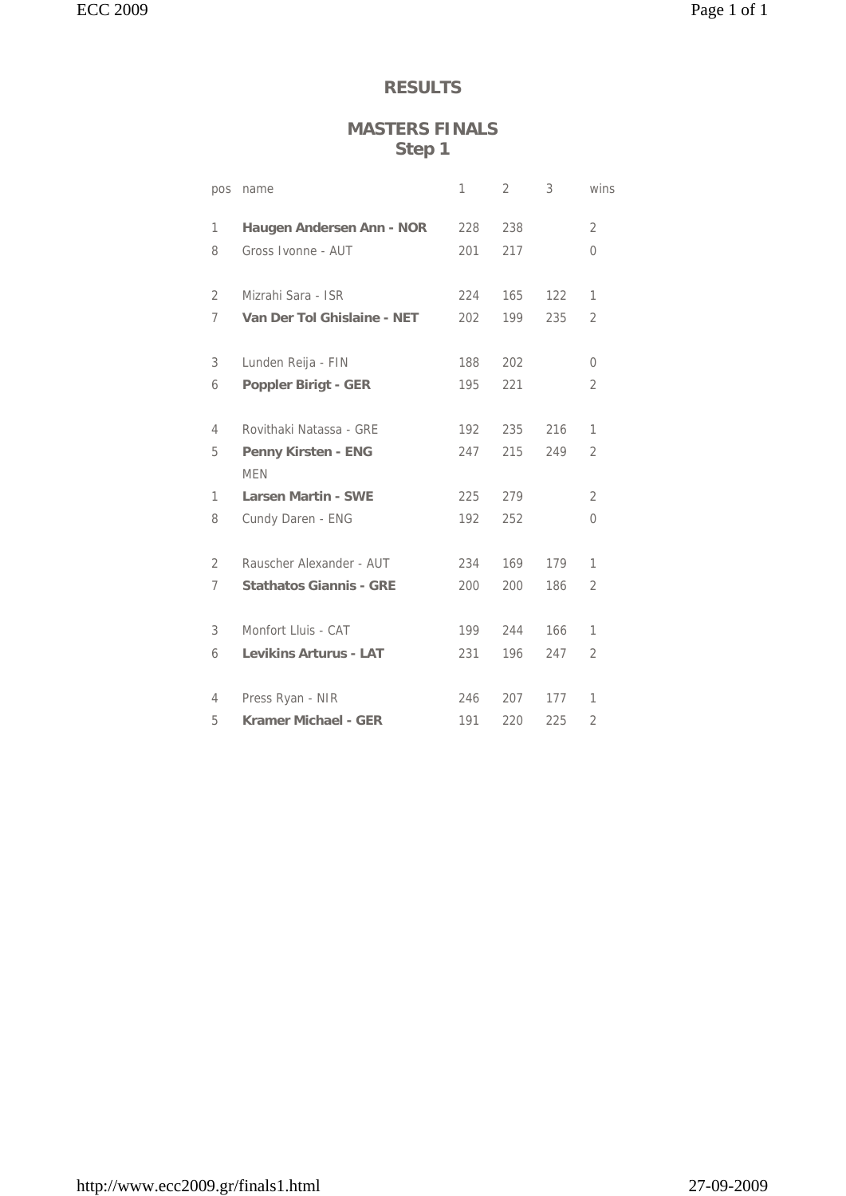#### **MASTERS FINALS Step 1**

| pos | name                                     | 1   | 2   | 3   | wins           |
|-----|------------------------------------------|-----|-----|-----|----------------|
| 1   | Haugen Andersen Ann - NOR                | 228 | 238 |     | 2              |
| 8   | Gross Ivonne - AUT                       | 201 | 217 |     | 0              |
| 2   | Mizrahi Sara - ISR                       | 224 | 165 | 122 | 1              |
| 7   | Van Der Tol Ghislaine - NET              | 202 | 199 | 235 | $\overline{2}$ |
| 3   | Lunden Reija - FIN                       | 188 | 202 |     | 0              |
| 6   | <b>Poppler Birigt - GER</b>              | 195 | 221 |     | 2              |
| 4   | Rovithaki Natassa - GRE                  | 192 | 235 | 216 | 1              |
| 5   | <b>Penny Kirsten - ENG</b><br><b>MFN</b> | 247 | 215 | 249 | $\overline{2}$ |
| 1   | <b>Larsen Martin - SWE</b>               | 225 | 279 |     | $\overline{2}$ |
| 8   | Cundy Daren - ENG                        | 192 | 252 |     | 0              |
| 2   | Rauscher Alexander - AUT                 | 234 | 169 | 179 | 1              |
| 7   | <b>Stathatos Giannis - GRE</b>           | 200 | 200 | 186 | $\overline{2}$ |
| 3   | Monfort Lluis - CAT                      | 199 | 244 | 166 | 1              |
| 6   | <b>Levikins Arturus - LAT</b>            | 231 | 196 | 247 | $\overline{2}$ |
| 4   | Press Ryan - NIR                         | 246 | 207 | 177 | 1              |
| 5   | Kramer Michael - GER                     | 191 | 220 | 225 | $\overline{2}$ |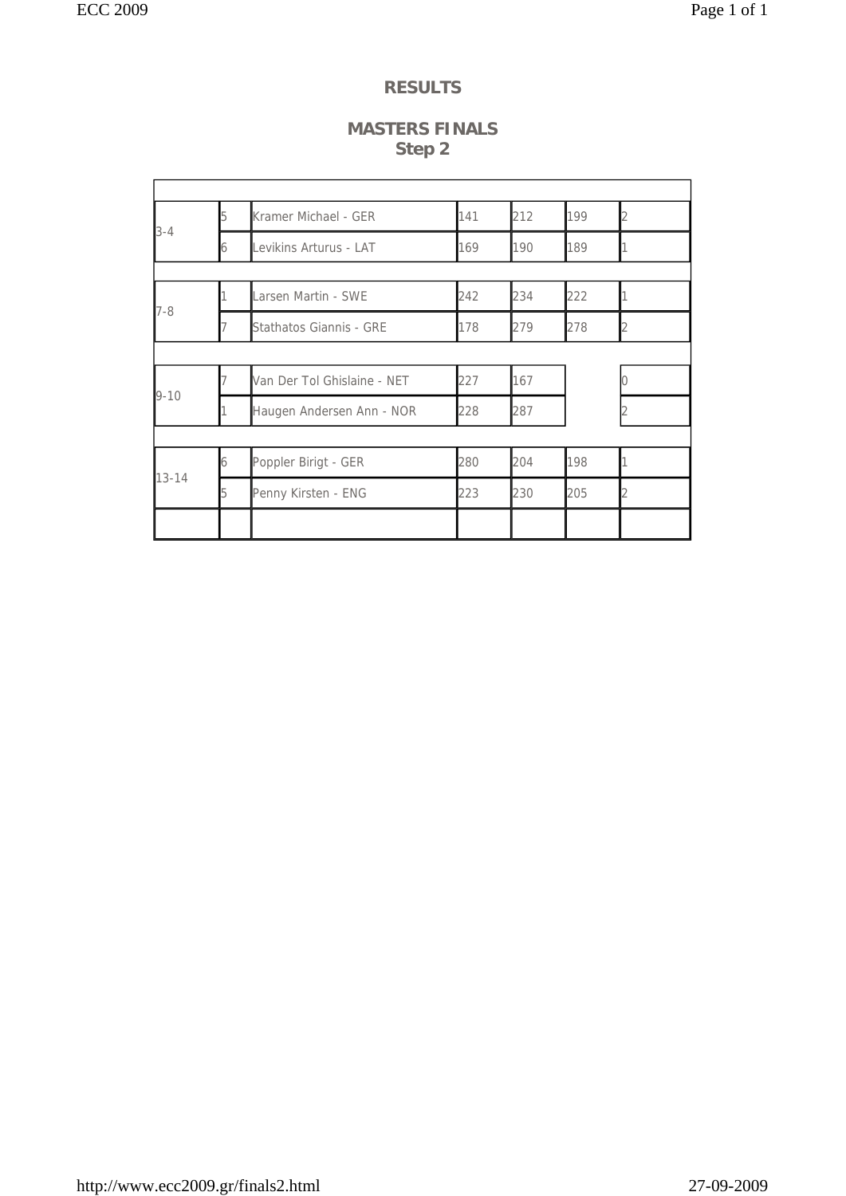#### **MASTERS FINALS Step 2**

|                                           | 15 | Kramer Michael - GER        | 141 | 212 | 199 |  |
|-------------------------------------------|----|-----------------------------|-----|-----|-----|--|
|                                           | 6  | Levikins Arturus - LAT      | 169 | 190 | 189 |  |
|                                           |    |                             |     |     |     |  |
|                                           |    | Larsen Martin - SWE         | 242 | 234 | 222 |  |
|                                           |    | Stathatos Giannis - GRE     | 178 | 279 | 278 |  |
|                                           |    |                             |     |     |     |  |
|                                           |    | Van Der Tol Ghislaine - NET | 227 | 167 |     |  |
| $3 - 4$<br>$7-8$<br>$9 - 10$<br>$13 - 14$ |    | Haugen Andersen Ann - NOR   | 228 | 287 |     |  |
|                                           |    |                             |     |     |     |  |
|                                           | 6  | Poppler Birigt - GER        | 280 | 204 | 198 |  |
|                                           |    | Penny Kirsten - ENG         | 223 | 230 | 205 |  |
|                                           |    |                             |     |     |     |  |